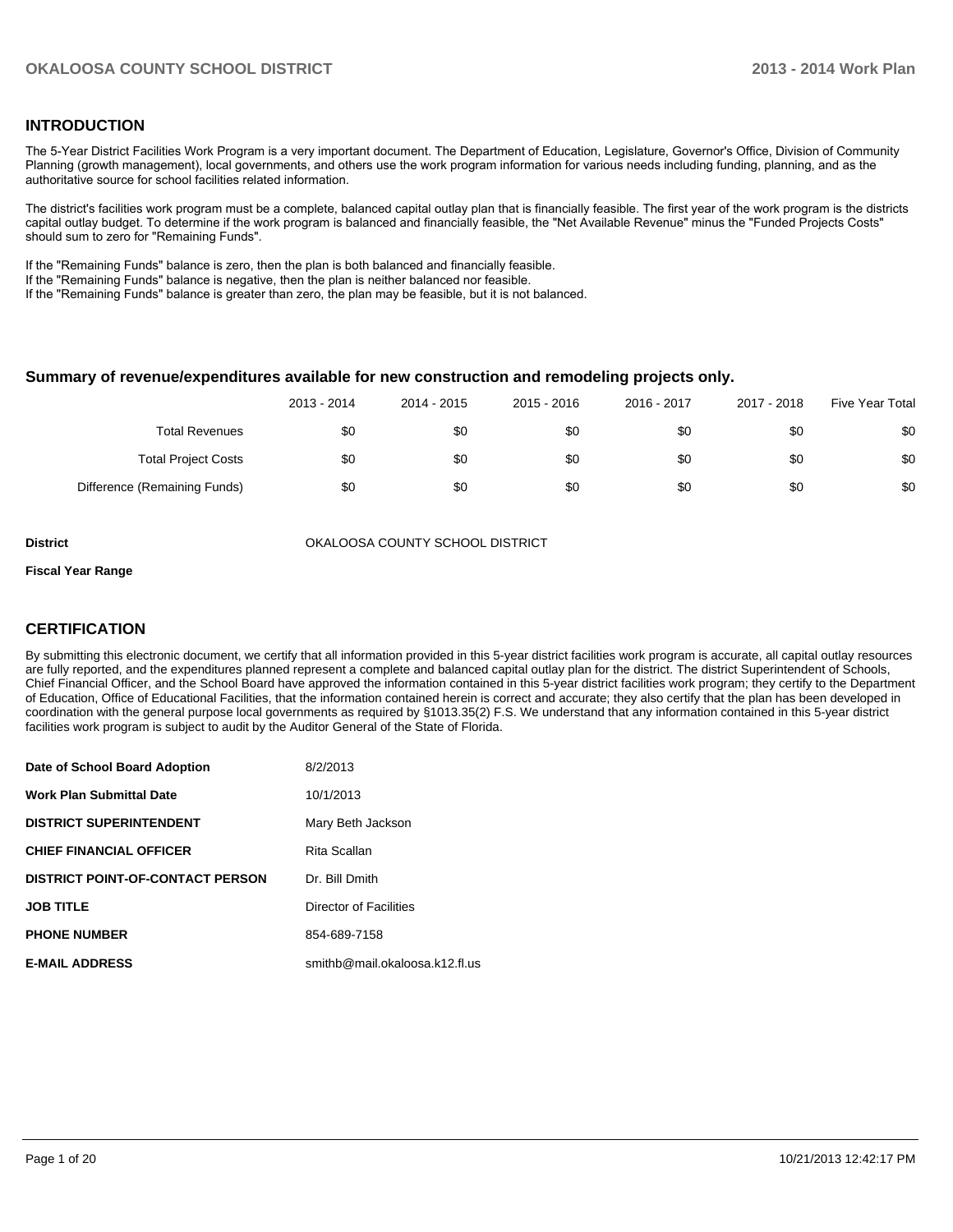#### **INTRODUCTION**

The 5-Year District Facilities Work Program is a very important document. The Department of Education, Legislature, Governor's Office, Division of Community Planning (growth management), local governments, and others use the work program information for various needs including funding, planning, and as the authoritative source for school facilities related information.

The district's facilities work program must be a complete, balanced capital outlay plan that is financially feasible. The first year of the work program is the districts capital outlay budget. To determine if the work program is balanced and financially feasible, the "Net Available Revenue" minus the "Funded Projects Costs" should sum to zero for "Remaining Funds".

If the "Remaining Funds" balance is zero, then the plan is both balanced and financially feasible.

If the "Remaining Funds" balance is negative, then the plan is neither balanced nor feasible.

If the "Remaining Funds" balance is greater than zero, the plan may be feasible, but it is not balanced.

#### **Summary of revenue/expenditures available for new construction and remodeling projects only.**

|                              | 2013 - 2014 | 2014 - 2015 | 2015 - 2016 | 2016 - 2017 | 2017 - 2018 | Five Year Total |
|------------------------------|-------------|-------------|-------------|-------------|-------------|-----------------|
| <b>Total Revenues</b>        | \$0         | \$0         | \$0         | \$0         | \$0         | \$0             |
| <b>Total Project Costs</b>   | \$0         | \$0         | \$0         | \$0         | \$0         | \$0             |
| Difference (Remaining Funds) | \$0         | \$0         | \$0         | \$0         | \$0         | \$0             |

**District COUNTY SCHOOL DISTRICT** OKALOOSA COUNTY SCHOOL DISTRICT

#### **Fiscal Year Range**

#### **CERTIFICATION**

By submitting this electronic document, we certify that all information provided in this 5-year district facilities work program is accurate, all capital outlay resources are fully reported, and the expenditures planned represent a complete and balanced capital outlay plan for the district. The district Superintendent of Schools, Chief Financial Officer, and the School Board have approved the information contained in this 5-year district facilities work program; they certify to the Department of Education, Office of Educational Facilities, that the information contained herein is correct and accurate; they also certify that the plan has been developed in coordination with the general purpose local governments as required by §1013.35(2) F.S. We understand that any information contained in this 5-year district facilities work program is subject to audit by the Auditor General of the State of Florida.

| Date of School Board Adoption           | 8/2/2013                       |
|-----------------------------------------|--------------------------------|
| <b>Work Plan Submittal Date</b>         | 10/1/2013                      |
| <b>DISTRICT SUPERINTENDENT</b>          | Mary Beth Jackson              |
| <b>CHIEF FINANCIAL OFFICER</b>          | Rita Scallan                   |
| <b>DISTRICT POINT-OF-CONTACT PERSON</b> | Dr. Bill Dmith                 |
| <b>JOB TITLE</b>                        | Director of Facilities         |
| <b>PHONE NUMBER</b>                     | 854-689-7158                   |
| <b>E-MAIL ADDRESS</b>                   | smithb@mail.okaloosa.k12.fl.us |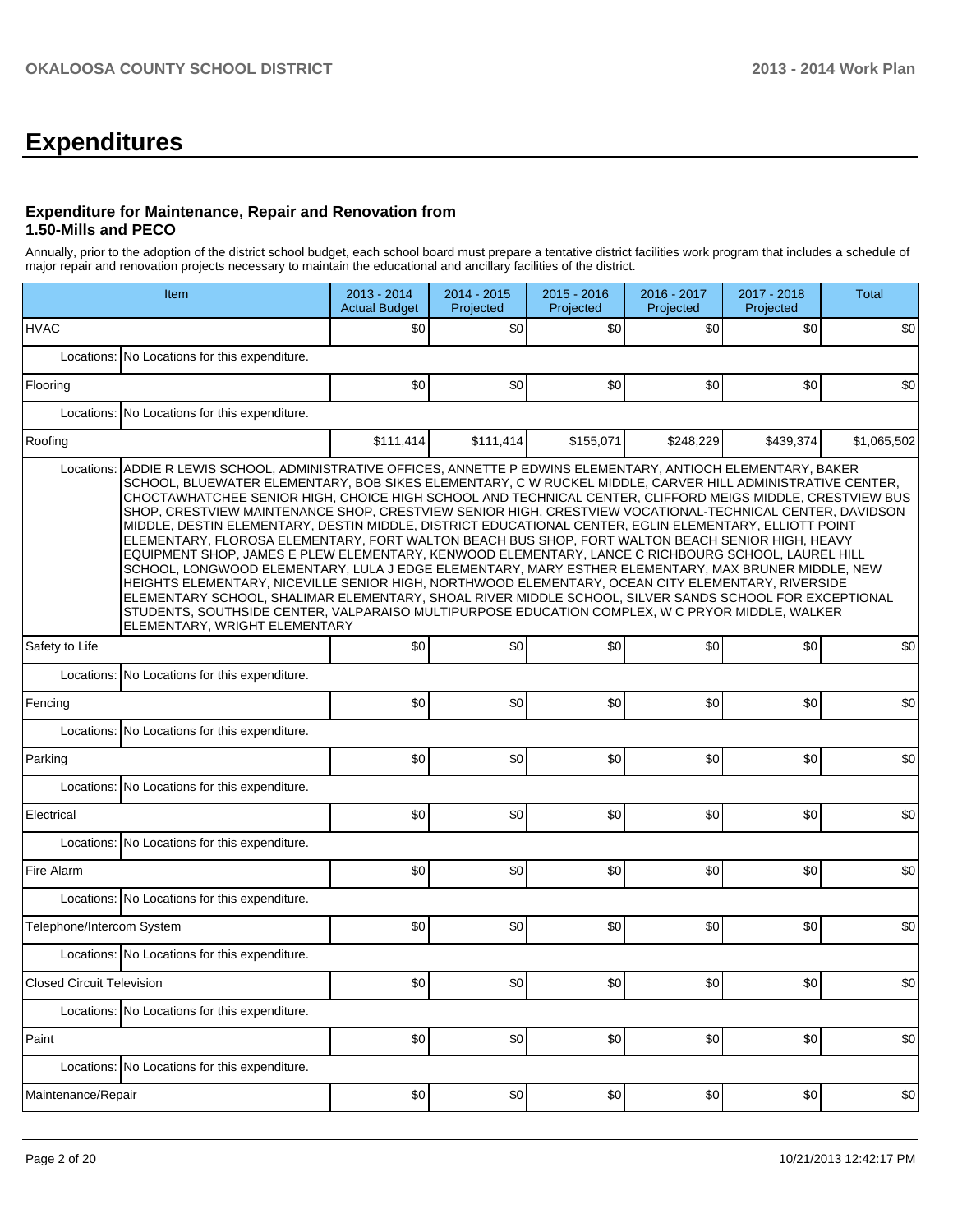# **Expenditures**

#### **Expenditure for Maintenance, Repair and Renovation from 1.50-Mills and PECO**

Annually, prior to the adoption of the district school budget, each school board must prepare a tentative district facilities work program that includes a schedule of major repair and renovation projects necessary to maintain the educational and ancillary facilities of the district.

| Item                                          |                                                                                                                                                                                                                                                                                                                                                                                                                                                                                                                                                                                                                                                                                                                                                                                                                                                                                                                                                                                                                                                                                                                                                                                                                          | 2013 - 2014<br><b>Actual Budget</b> | 2014 - 2015<br>Projected | 2015 - 2016<br>Projected | 2016 - 2017<br>Projected | 2017 - 2018<br>Projected | <b>Total</b> |  |  |  |  |
|-----------------------------------------------|--------------------------------------------------------------------------------------------------------------------------------------------------------------------------------------------------------------------------------------------------------------------------------------------------------------------------------------------------------------------------------------------------------------------------------------------------------------------------------------------------------------------------------------------------------------------------------------------------------------------------------------------------------------------------------------------------------------------------------------------------------------------------------------------------------------------------------------------------------------------------------------------------------------------------------------------------------------------------------------------------------------------------------------------------------------------------------------------------------------------------------------------------------------------------------------------------------------------------|-------------------------------------|--------------------------|--------------------------|--------------------------|--------------------------|--------------|--|--|--|--|
| <b>HVAC</b>                                   |                                                                                                                                                                                                                                                                                                                                                                                                                                                                                                                                                                                                                                                                                                                                                                                                                                                                                                                                                                                                                                                                                                                                                                                                                          | \$0                                 | \$0                      | \$0                      | \$0                      | \$0                      | \$0          |  |  |  |  |
|                                               | Locations: No Locations for this expenditure.                                                                                                                                                                                                                                                                                                                                                                                                                                                                                                                                                                                                                                                                                                                                                                                                                                                                                                                                                                                                                                                                                                                                                                            |                                     |                          |                          |                          |                          |              |  |  |  |  |
| Flooring                                      |                                                                                                                                                                                                                                                                                                                                                                                                                                                                                                                                                                                                                                                                                                                                                                                                                                                                                                                                                                                                                                                                                                                                                                                                                          | \$0                                 | \$0                      | \$0                      | \$0                      | \$0                      | \$0          |  |  |  |  |
|                                               | Locations: No Locations for this expenditure.                                                                                                                                                                                                                                                                                                                                                                                                                                                                                                                                                                                                                                                                                                                                                                                                                                                                                                                                                                                                                                                                                                                                                                            |                                     |                          |                          |                          |                          |              |  |  |  |  |
| Roofing                                       |                                                                                                                                                                                                                                                                                                                                                                                                                                                                                                                                                                                                                                                                                                                                                                                                                                                                                                                                                                                                                                                                                                                                                                                                                          | \$111,414                           | \$111,414                | \$155,071                | \$248,229                | \$439,374                | \$1,065,502  |  |  |  |  |
| Locations:                                    | ADDIE R LEWIS SCHOOL, ADMINISTRATIVE OFFICES, ANNETTE P EDWINS ELEMENTARY, ANTIOCH ELEMENTARY, BAKER<br>SCHOOL, BLUEWATER ELEMENTARY, BOB SIKES ELEMENTARY, C W RUCKEL MIDDLE, CARVER HILL ADMINISTRATIVE CENTER,<br>CHOCTAWHATCHEE SENIOR HIGH, CHOICE HIGH SCHOOL AND TECHNICAL CENTER, CLIFFORD MEIGS MIDDLE, CRESTVIEW BUS<br>SHOP, CRESTVIEW MAINTENANCE SHOP, CRESTVIEW SENIOR HIGH, CRESTVIEW VOCATIONAL-TECHNICAL CENTER, DAVIDSON<br>MIDDLE, DESTIN ELEMENTARY, DESTIN MIDDLE, DISTRICT EDUCATIONAL CENTER, EGLIN ELEMENTARY, ELLIOTT POINT<br>ELEMENTARY, FLOROSA ELEMENTARY, FORT WALTON BEACH BUS SHOP, FORT WALTON BEACH SENIOR HIGH, HEAVY<br>EQUIPMENT SHOP, JAMES E PLEW ELEMENTARY, KENWOOD ELEMENTARY, LANCE C RICHBOURG SCHOOL, LAUREL HILL<br>SCHOOL, LONGWOOD ELEMENTARY, LULA J EDGE ELEMENTARY, MARY ESTHER ELEMENTARY, MAX BRUNER MIDDLE, NEW<br>HEIGHTS ELEMENTARY, NICEVILLE SENIOR HIGH, NORTHWOOD ELEMENTARY, OCEAN CITY ELEMENTARY, RIVERSIDE<br>ELEMENTARY SCHOOL, SHALIMAR ELEMENTARY, SHOAL RIVER MIDDLE SCHOOL, SILVER SANDS SCHOOL FOR EXCEPTIONAL<br>STUDENTS, SOUTHSIDE CENTER, VALPARAISO MULTIPURPOSE EDUCATION COMPLEX, W C PRYOR MIDDLE, WALKER<br>ELEMENTARY, WRIGHT ELEMENTARY |                                     |                          |                          |                          |                          |              |  |  |  |  |
| Safety to Life                                |                                                                                                                                                                                                                                                                                                                                                                                                                                                                                                                                                                                                                                                                                                                                                                                                                                                                                                                                                                                                                                                                                                                                                                                                                          | \$0                                 | \$0                      | \$0                      | \$0                      | \$0                      | \$0          |  |  |  |  |
| Locations: No Locations for this expenditure. |                                                                                                                                                                                                                                                                                                                                                                                                                                                                                                                                                                                                                                                                                                                                                                                                                                                                                                                                                                                                                                                                                                                                                                                                                          |                                     |                          |                          |                          |                          |              |  |  |  |  |
| Fencing                                       |                                                                                                                                                                                                                                                                                                                                                                                                                                                                                                                                                                                                                                                                                                                                                                                                                                                                                                                                                                                                                                                                                                                                                                                                                          | \$0                                 | \$0                      | \$0                      | \$0                      | \$0                      | \$0          |  |  |  |  |
|                                               | Locations: No Locations for this expenditure.                                                                                                                                                                                                                                                                                                                                                                                                                                                                                                                                                                                                                                                                                                                                                                                                                                                                                                                                                                                                                                                                                                                                                                            |                                     |                          |                          |                          |                          |              |  |  |  |  |
| Parking                                       |                                                                                                                                                                                                                                                                                                                                                                                                                                                                                                                                                                                                                                                                                                                                                                                                                                                                                                                                                                                                                                                                                                                                                                                                                          | \$0                                 | \$0                      | \$0                      | \$0                      | \$0                      | \$0          |  |  |  |  |
|                                               | Locations: No Locations for this expenditure.                                                                                                                                                                                                                                                                                                                                                                                                                                                                                                                                                                                                                                                                                                                                                                                                                                                                                                                                                                                                                                                                                                                                                                            |                                     |                          |                          |                          |                          |              |  |  |  |  |
| Electrical                                    |                                                                                                                                                                                                                                                                                                                                                                                                                                                                                                                                                                                                                                                                                                                                                                                                                                                                                                                                                                                                                                                                                                                                                                                                                          | \$0                                 | \$0                      | \$0                      | \$0                      | \$0                      | \$0          |  |  |  |  |
|                                               | Locations: No Locations for this expenditure.                                                                                                                                                                                                                                                                                                                                                                                                                                                                                                                                                                                                                                                                                                                                                                                                                                                                                                                                                                                                                                                                                                                                                                            |                                     |                          |                          |                          |                          |              |  |  |  |  |
| Fire Alarm                                    |                                                                                                                                                                                                                                                                                                                                                                                                                                                                                                                                                                                                                                                                                                                                                                                                                                                                                                                                                                                                                                                                                                                                                                                                                          | \$0                                 | \$0                      | \$0                      | \$0                      | \$0                      | \$0          |  |  |  |  |
|                                               | Locations: No Locations for this expenditure.                                                                                                                                                                                                                                                                                                                                                                                                                                                                                                                                                                                                                                                                                                                                                                                                                                                                                                                                                                                                                                                                                                                                                                            |                                     |                          |                          |                          |                          |              |  |  |  |  |
| Telephone/Intercom System                     |                                                                                                                                                                                                                                                                                                                                                                                                                                                                                                                                                                                                                                                                                                                                                                                                                                                                                                                                                                                                                                                                                                                                                                                                                          | \$0                                 | \$0                      | \$0                      | \$0                      | \$0                      | \$0          |  |  |  |  |
|                                               | Locations: No Locations for this expenditure.                                                                                                                                                                                                                                                                                                                                                                                                                                                                                                                                                                                                                                                                                                                                                                                                                                                                                                                                                                                                                                                                                                                                                                            |                                     |                          |                          |                          |                          |              |  |  |  |  |
| <b>Closed Circuit Television</b>              |                                                                                                                                                                                                                                                                                                                                                                                                                                                                                                                                                                                                                                                                                                                                                                                                                                                                                                                                                                                                                                                                                                                                                                                                                          | \$0 <sub>l</sub>                    | \$0 <sub>l</sub>         | sol                      | $\text{sol}$             | \$0]                     | \$0          |  |  |  |  |
|                                               | Locations: No Locations for this expenditure.                                                                                                                                                                                                                                                                                                                                                                                                                                                                                                                                                                                                                                                                                                                                                                                                                                                                                                                                                                                                                                                                                                                                                                            |                                     |                          |                          |                          |                          |              |  |  |  |  |
| Paint                                         |                                                                                                                                                                                                                                                                                                                                                                                                                                                                                                                                                                                                                                                                                                                                                                                                                                                                                                                                                                                                                                                                                                                                                                                                                          | \$0                                 | \$0                      | \$0                      | \$0                      | \$0                      | \$0          |  |  |  |  |
|                                               | Locations: No Locations for this expenditure.                                                                                                                                                                                                                                                                                                                                                                                                                                                                                                                                                                                                                                                                                                                                                                                                                                                                                                                                                                                                                                                                                                                                                                            |                                     |                          |                          |                          |                          |              |  |  |  |  |
| Maintenance/Repair                            |                                                                                                                                                                                                                                                                                                                                                                                                                                                                                                                                                                                                                                                                                                                                                                                                                                                                                                                                                                                                                                                                                                                                                                                                                          | \$0                                 | \$0                      | \$0                      | \$0                      | \$0                      | \$0          |  |  |  |  |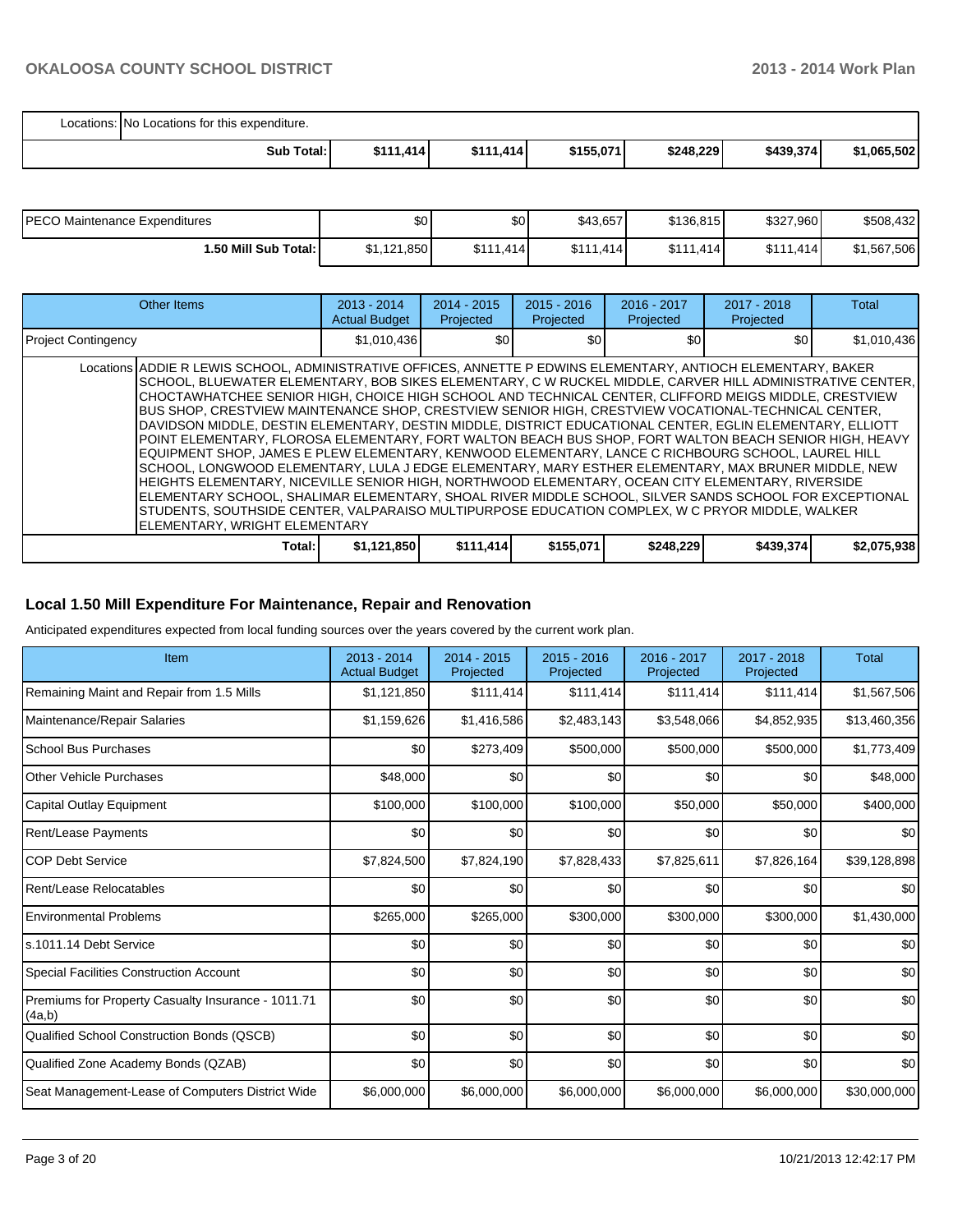| Locations: No Locations for this expenditure. |           |           |           |           |           |             |  |  |
|-----------------------------------------------|-----------|-----------|-----------|-----------|-----------|-------------|--|--|
| Sub Total:                                    | \$111,414 | \$111,414 | \$155,071 | \$248,229 | \$439,374 | \$1,065,502 |  |  |

| IPECO Maintenance Expenditures | \$0         | \$0 <sub>1</sub> | \$43.657  | \$136.815 | \$327,960       | \$508.432   |
|--------------------------------|-------------|------------------|-----------|-----------|-----------------|-------------|
| 1.50 Mill Sub Total: I         | \$1,121,850 | \$111.414        | \$111.414 | \$111,414 | \$111<br>ا 414. | \$1,567,506 |

| Other Items                                                                                                                                                                                                                                                                                                                                                                                                                                                                                                                                                                                                                                                                                                                                                                                                                                                                                                                                                                                                                                                                                                                                                                                                                         | $2013 - 2014$<br><b>Actual Budget</b> | $2014 - 2015$<br>Projected | $2015 - 2016$<br>Projected | $2016 - 2017$<br>Projected | $2017 - 2018$<br>Projected | Total       |
|-------------------------------------------------------------------------------------------------------------------------------------------------------------------------------------------------------------------------------------------------------------------------------------------------------------------------------------------------------------------------------------------------------------------------------------------------------------------------------------------------------------------------------------------------------------------------------------------------------------------------------------------------------------------------------------------------------------------------------------------------------------------------------------------------------------------------------------------------------------------------------------------------------------------------------------------------------------------------------------------------------------------------------------------------------------------------------------------------------------------------------------------------------------------------------------------------------------------------------------|---------------------------------------|----------------------------|----------------------------|----------------------------|----------------------------|-------------|
| <b>Project Contingency</b>                                                                                                                                                                                                                                                                                                                                                                                                                                                                                                                                                                                                                                                                                                                                                                                                                                                                                                                                                                                                                                                                                                                                                                                                          | \$1,010,436                           | \$0 <sub>0</sub>           | \$0                        | \$0                        | \$0                        | \$1,010,436 |
| Locations ADDIE R LEWIS SCHOOL, ADMINISTRATIVE OFFICES, ANNETTE P EDWINS ELEMENTARY, ANTIOCH ELEMENTARY, BAKER<br>SCHOOL, BLUEWATER ELEMENTARY, BOB SIKES ELEMENTARY, C W RUCKEL MIDDLE, CARVER HILL ADMINISTRATIVE CENTER,<br>ICHOCTAWHATCHEE SENIOR HIGH. CHOICE HIGH SCHOOL AND TECHNICAL CENTER. CLIFFORD MEIGS MIDDLE. CRESTVIEW<br>BUS SHOP, CRESTVIEW MAINTENANCE SHOP, CRESTVIEW SENIOR HIGH, CRESTVIEW VOCATIONAL-TECHNICAL CENTER,<br>DAVIDSON MIDDLE. DESTIN ELEMENTARY. DESTIN MIDDLE. DISTRICT EDUCATIONAL CENTER. EGLIN ELEMENTARY. ELLIOTT<br>POINT ELEMENTARY, FLOROSA ELEMENTARY, FORT WALTON BEACH BUS SHOP, FORT WALTON BEACH SENIOR HIGH, HEAVY<br>EQUIPMENT SHOP, JAMES E PLEW ELEMENTARY, KENWOOD ELEMENTARY, LANCE C RICHBOURG SCHOOL, LAUREL HILL<br>SCHOOL, LONGWOOD ELEMENTARY, LULA J EDGE ELEMENTARY, MARY ESTHER ELEMENTARY, MAX BRUNER MIDDLE, NEW<br>HEIGHTS ELEMENTARY, NICEVILLE SENIOR HIGH, NORTHWOOD ELEMENTARY, OCEAN CITY ELEMENTARY, RIVERSIDE<br>ELEMENTARY SCHOOL, SHALIMAR ELEMENTARY, SHOAL RIVER MIDDLE SCHOOL, SILVER SANDS SCHOOL FOR EXCEPTIONAL<br>STUDENTS, SOUTHSIDE CENTER, VALPARAISO MULTIPURPOSE EDUCATION COMPLEX, W C PRYOR MIDDLE, WALKER<br>ELEMENTARY, WRIGHT ELEMENTARY |                                       |                            |                            |                            |                            |             |
| Total:                                                                                                                                                                                                                                                                                                                                                                                                                                                                                                                                                                                                                                                                                                                                                                                                                                                                                                                                                                                                                                                                                                                                                                                                                              | \$1,121,850                           | \$111,414                  | \$155,071                  | \$248,229                  | \$439,374                  | \$2,075,938 |

#### **Local 1.50 Mill Expenditure For Maintenance, Repair and Renovation**

Anticipated expenditures expected from local funding sources over the years covered by the current work plan.

| Item                                                         | 2013 - 2014<br><b>Actual Budget</b> | $2014 - 2015$<br>Projected | $2015 - 2016$<br>Projected | 2016 - 2017<br>Projected | 2017 - 2018<br>Projected | <b>Total</b> |
|--------------------------------------------------------------|-------------------------------------|----------------------------|----------------------------|--------------------------|--------------------------|--------------|
| Remaining Maint and Repair from 1.5 Mills                    | \$1,121,850                         | \$111,414                  | \$111,414                  | \$111,414                | \$111,414                | \$1,567,506  |
| Maintenance/Repair Salaries                                  | \$1,159,626                         | \$1,416,586                | \$2,483,143                | \$3,548,066              | \$4,852,935              | \$13,460,356 |
| <b>School Bus Purchases</b>                                  | \$0                                 | \$273,409                  | \$500,000                  | \$500,000                | \$500,000                | \$1,773,409  |
| Other Vehicle Purchases                                      | \$48,000                            | \$0                        | \$0                        | \$0                      | \$0                      | \$48,000     |
| Capital Outlay Equipment                                     | \$100,000                           | \$100,000                  | \$100,000                  | \$50,000                 | \$50,000                 | \$400,000    |
| <b>Rent/Lease Payments</b>                                   | \$0                                 | \$0                        | \$0                        | \$0                      | \$0                      | \$0          |
| <b>COP Debt Service</b>                                      | \$7,824,500                         | \$7,824,190                | \$7,828,433                | \$7,825,611              | \$7,826,164              | \$39,128,898 |
| Rent/Lease Relocatables                                      | \$0                                 | \$0                        | \$0                        | \$0                      | \$0                      | \$0          |
| <b>Environmental Problems</b>                                | \$265,000                           | \$265,000                  | \$300,000                  | \$300,000                | \$300,000                | \$1,430,000  |
| ls.1011.14 Debt Service                                      | \$0                                 | \$0                        | \$0                        | \$0                      | \$0                      | \$0          |
| Special Facilities Construction Account                      | \$0                                 | \$0                        | \$0                        | \$0                      | \$0                      | \$0          |
| Premiums for Property Casualty Insurance - 1011.71<br>(4a,b) | \$0                                 | \$0                        | \$0                        | \$0                      | \$0                      | \$0          |
| Qualified School Construction Bonds (QSCB)                   | \$0                                 | \$0                        | \$0                        | \$0                      | \$0                      | \$0          |
| Qualified Zone Academy Bonds (QZAB)                          | \$0                                 | \$0                        | \$0                        | \$0                      | \$0                      | \$0          |
| Seat Management-Lease of Computers District Wide             | \$6,000,000                         | \$6,000,000                | \$6,000,000                | \$6,000,000              | \$6,000,000              | \$30,000,000 |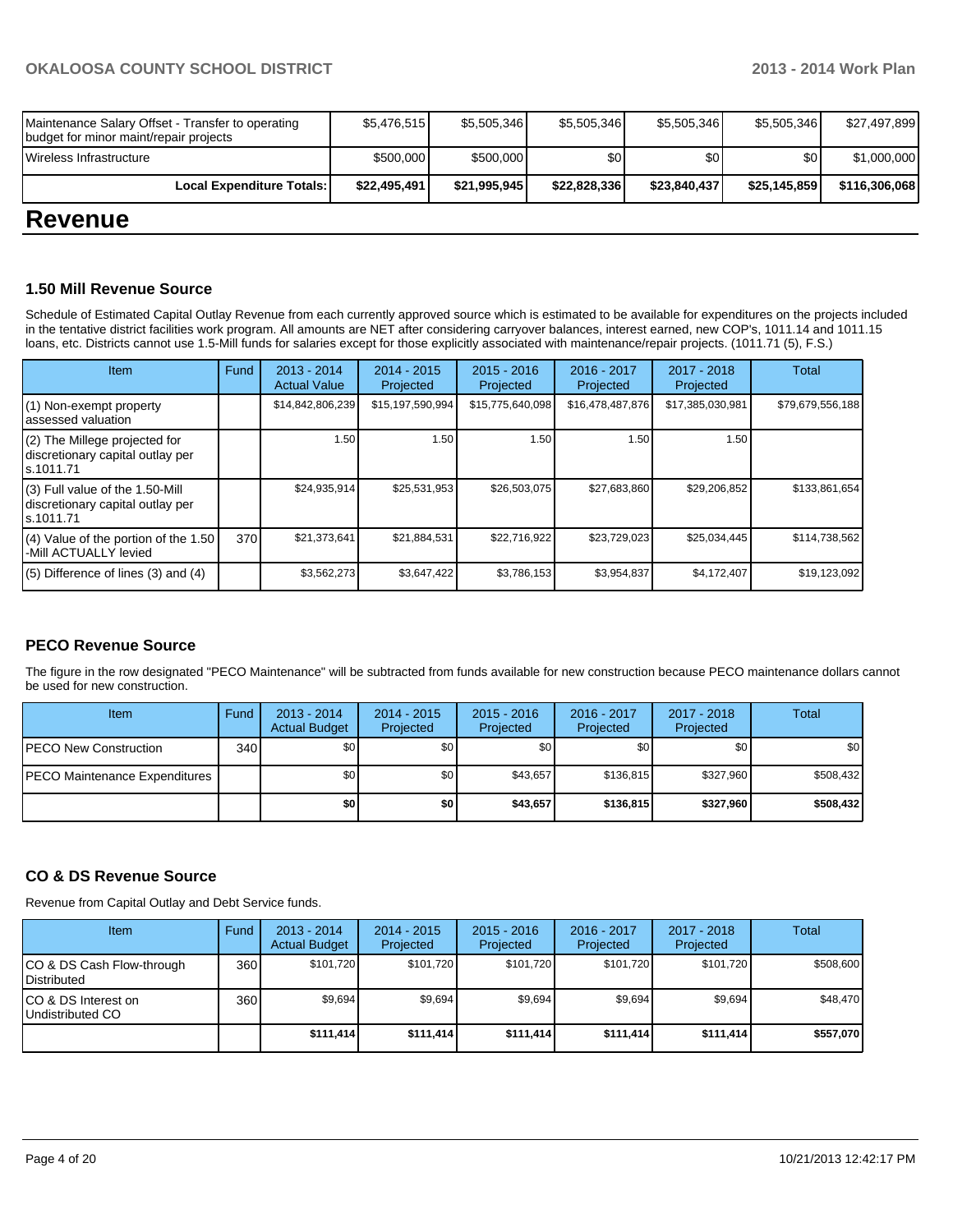| <b>Revenue</b>                                                                              |              |              |              |              |              |               |
|---------------------------------------------------------------------------------------------|--------------|--------------|--------------|--------------|--------------|---------------|
| Local Expenditure Totals:                                                                   | \$22,495,491 | \$21,995,945 | \$22,828,336 | \$23,840,437 | \$25,145,859 | \$116,306,068 |
| Wireless Infrastructure                                                                     | \$500,000    | \$500,000    | \$0          | \$0          | \$0          | \$1,000,000   |
| Maintenance Salary Offset - Transfer to operating<br>budget for minor maint/repair projects | \$5,476,515  | \$5,505,346  | \$5,505,346  | \$5,505,346  | \$5,505,346  | \$27,497,899  |

#### **1.50 Mill Revenue Source**

Schedule of Estimated Capital Outlay Revenue from each currently approved source which is estimated to be available for expenditures on the projects included in the tentative district facilities work program. All amounts are NET after considering carryover balances, interest earned, new COP's, 1011.14 and 1011.15 loans, etc. Districts cannot use 1.5-Mill funds for salaries except for those explicitly associated with maintenance/repair projects. (1011.71 (5), F.S.)

| <b>Item</b>                                                                         | Fund | $2013 - 2014$<br><b>Actual Value</b> | $2014 - 2015$<br>Projected | $2015 - 2016$<br>Projected | $2016 - 2017$<br>Projected | $2017 - 2018$<br>Projected | Total            |
|-------------------------------------------------------------------------------------|------|--------------------------------------|----------------------------|----------------------------|----------------------------|----------------------------|------------------|
| $(1)$ Non-exempt property<br>lassessed valuation                                    |      | \$14,842,806,239                     | \$15,197,590,994           | \$15,775,640,098           | \$16,478,487,876           | \$17,385,030,981           | \$79,679,556,188 |
| (2) The Millege projected for<br>discretionary capital outlay per<br>ls.1011.71     |      | 1.50                                 | 1.50                       | 1.50                       | 1.50                       | 1.50                       |                  |
| $(3)$ Full value of the 1.50-Mill<br>discretionary capital outlay per<br>ls.1011.71 |      | \$24,935,914                         | \$25,531,953               | \$26,503,075               | \$27,683,860               | \$29,206,852               | \$133,861,654    |
| $(4)$ Value of the portion of the 1.50<br>-Mill ACTUALLY levied                     | 370  | \$21,373,641                         | \$21,884,531               | \$22,716,922               | \$23,729,023               | \$25,034,445               | \$114,738,562    |
| $(5)$ Difference of lines $(3)$ and $(4)$                                           |      | \$3,562,273                          | \$3,647,422                | \$3,786,153                | \$3,954,837                | \$4,172,407                | \$19,123,092     |

#### **PECO Revenue Source**

The figure in the row designated "PECO Maintenance" will be subtracted from funds available for new construction because PECO maintenance dollars cannot be used for new construction.

| Item                          | Fund | $2013 - 2014$<br><b>Actual Budget</b> | $2014 - 2015$<br>Projected | $2015 - 2016$<br>Projected | 2016 - 2017<br>Projected | 2017 - 2018<br>Projected | Total     |
|-------------------------------|------|---------------------------------------|----------------------------|----------------------------|--------------------------|--------------------------|-----------|
| PECO New Construction         | 340  | \$0 I                                 | \$0                        | \$0                        | \$0                      | \$0                      | \$0       |
| PECO Maintenance Expenditures |      | \$O I                                 | \$0                        | \$43.657                   | \$136.815                | \$327,960                | \$508,432 |
|                               |      | \$0                                   | \$0                        | \$43,657                   | \$136,815                | \$327.960                | \$508,432 |

#### **CO & DS Revenue Source**

Revenue from Capital Outlay and Debt Service funds.

| Item                                            | Fund | 2013 - 2014<br><b>Actual Budget</b> | $2014 - 2015$<br>Projected | $2015 - 2016$<br>Projected | $2016 - 2017$<br>Projected | $2017 - 2018$<br>Projected | Total     |
|-------------------------------------------------|------|-------------------------------------|----------------------------|----------------------------|----------------------------|----------------------------|-----------|
| CO & DS Cash Flow-through<br><b>Distributed</b> | 360  | \$101.720                           | \$101.720                  | \$101.720                  | \$101.720                  | \$101.720                  | \$508,600 |
| CO & DS Interest on<br>Undistributed CO         | 360  | \$9.694                             | \$9,694                    | \$9.694                    | \$9.694                    | \$9,694                    | \$48,470  |
|                                                 |      | \$111.414                           | \$111.414]                 | \$111.414                  | \$111.414                  | \$111,414                  | \$557,070 |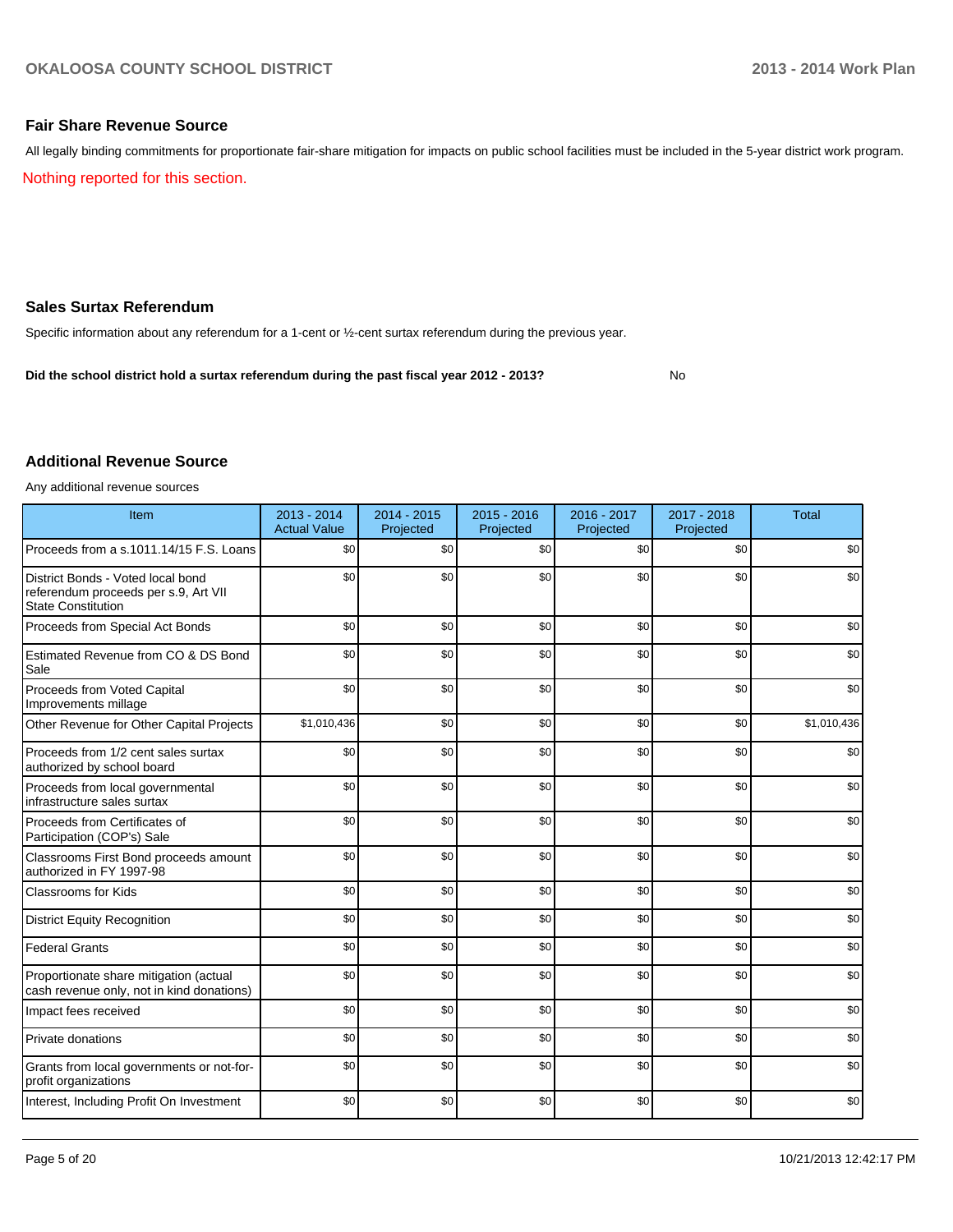No

#### **Fair Share Revenue Source**

Nothing reported for this section. All legally binding commitments for proportionate fair-share mitigation for impacts on public school facilities must be included in the 5-year district work program.

#### **Sales Surtax Referendum**

Specific information about any referendum for a 1-cent or ½-cent surtax referendum during the previous year.

**Did the school district hold a surtax referendum during the past fiscal year 2012 - 2013?**

#### **Additional Revenue Source**

Any additional revenue sources

| Item                                                                                                   | 2013 - 2014<br><b>Actual Value</b> | 2014 - 2015<br>Projected | $2015 - 2016$<br>Projected | 2016 - 2017<br>Projected | 2017 - 2018<br>Projected | <b>Total</b> |
|--------------------------------------------------------------------------------------------------------|------------------------------------|--------------------------|----------------------------|--------------------------|--------------------------|--------------|
| Proceeds from a s.1011.14/15 F.S. Loans                                                                | \$0                                | \$0                      | \$0                        | \$0                      | \$0                      | \$0          |
| District Bonds - Voted local bond<br>referendum proceeds per s.9, Art VII<br><b>State Constitution</b> | \$0                                | \$0                      | \$0                        | \$0                      | \$0                      | \$0          |
| Proceeds from Special Act Bonds                                                                        | \$0                                | \$0                      | \$0                        | \$0                      | \$0                      | \$0          |
| Estimated Revenue from CO & DS Bond<br>Sale                                                            | \$0                                | \$0                      | \$0                        | \$0                      | \$0                      | \$0          |
| Proceeds from Voted Capital<br>Improvements millage                                                    | \$0                                | \$0                      | \$0                        | \$0                      | \$0                      | \$0          |
| Other Revenue for Other Capital Projects                                                               | \$1,010,436                        | \$0                      | \$0                        | \$0                      | \$0                      | \$1,010,436  |
| Proceeds from 1/2 cent sales surtax<br>authorized by school board                                      | \$0                                | \$0                      | \$0                        | \$0                      | \$0                      | \$0          |
| Proceeds from local governmental<br>infrastructure sales surtax                                        | \$0                                | \$0                      | \$0                        | \$0                      | \$0                      | \$0          |
| Proceeds from Certificates of<br>Participation (COP's) Sale                                            | \$0                                | \$0                      | \$0                        | \$0                      | \$0                      | \$0          |
| Classrooms First Bond proceeds amount<br>authorized in FY 1997-98                                      | \$0                                | \$0                      | \$0                        | \$0                      | \$0                      | \$0          |
| <b>Classrooms for Kids</b>                                                                             | \$0                                | \$0                      | \$0                        | \$0                      | \$0                      | \$0          |
| <b>District Equity Recognition</b>                                                                     | \$0                                | \$0                      | \$0                        | \$0                      | \$0                      | \$0          |
| <b>Federal Grants</b>                                                                                  | \$0                                | \$0                      | \$0                        | \$0                      | \$0                      | \$0          |
| Proportionate share mitigation (actual<br>cash revenue only, not in kind donations)                    | \$0                                | \$0                      | \$0                        | \$0                      | \$0                      | \$0          |
| Impact fees received                                                                                   | \$0                                | \$0                      | \$0                        | \$0                      | \$0                      | \$0          |
| Private donations                                                                                      | \$0                                | \$0                      | \$0                        | \$0                      | \$0                      | \$0          |
| Grants from local governments or not-for-<br>profit organizations                                      | \$0                                | \$0                      | \$0                        | \$0                      | \$0                      | \$0          |
| Interest, Including Profit On Investment                                                               | \$0                                | \$0                      | \$0                        | \$0                      | \$0                      | \$0          |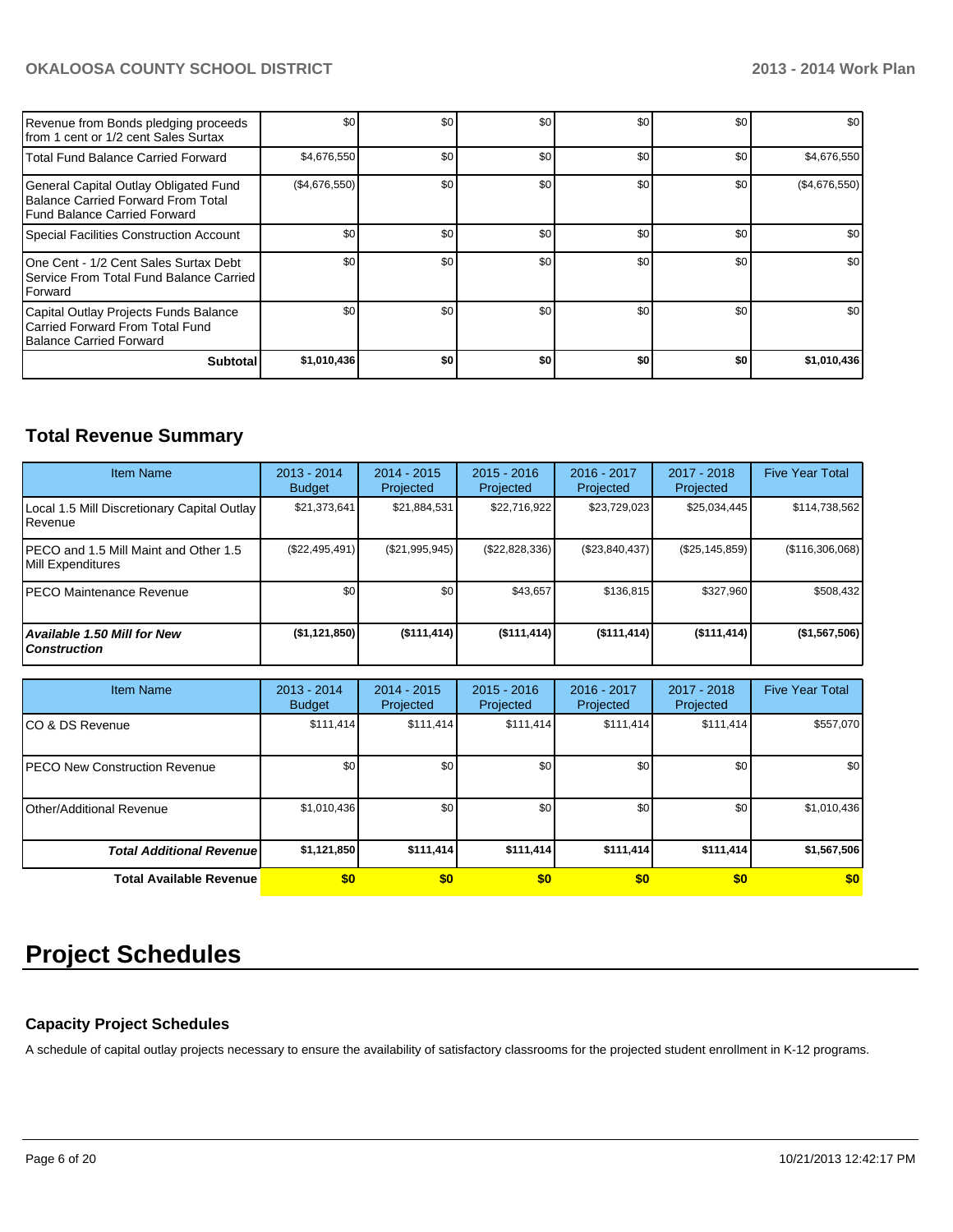| Revenue from Bonds pledging proceeds<br>Ifrom 1 cent or 1/2 cent Sales Surtax                               | \$0           | \$0 | \$0 | \$0 | \$0 | \$0 <sub>1</sub> |
|-------------------------------------------------------------------------------------------------------------|---------------|-----|-----|-----|-----|------------------|
| Total Fund Balance Carried Forward                                                                          | \$4,676,550   | \$0 | \$0 | \$0 | \$0 | \$4,676,550      |
| General Capital Outlay Obligated Fund<br>Balance Carried Forward From Total<br>Fund Balance Carried Forward | (\$4,676,550) | \$0 | \$0 | \$0 | \$0 | (\$4,676,550)    |
| Special Facilities Construction Account                                                                     | \$0           | \$0 | \$0 | \$0 | \$0 | \$0              |
| IOne Cent - 1/2 Cent Sales Surtax Debt<br>Service From Total Fund Balance Carried<br><b>IForward</b>        | \$0           | \$0 | \$0 | \$0 | \$0 | \$0 <sub>1</sub> |
| Capital Outlay Projects Funds Balance<br>Carried Forward From Total Fund<br>Balance Carried Forward         | \$0           | \$0 | \$0 | \$0 | \$0 | \$0 <sub>1</sub> |
| <b>Subtotal</b>                                                                                             | \$1,010,436   | \$0 | \$0 | \$0 | \$0 | \$1,010,436      |

### **Total Revenue Summary**

| <b>Item Name</b>                                           | $2013 - 2014$<br><b>Budget</b> | $2014 - 2015$<br>Projected | $2015 - 2016$<br>Projected | $2016 - 2017$<br>Projected | $2017 - 2018$<br>Projected | <b>Five Year Total</b> |
|------------------------------------------------------------|--------------------------------|----------------------------|----------------------------|----------------------------|----------------------------|------------------------|
| Local 1.5 Mill Discretionary Capital Outlay<br>Revenue     | \$21,373,641                   | \$21,884,531               | \$22.716.922               | \$23,729,023               | \$25,034,445               | \$114,738,562          |
| PECO and 1.5 Mill Maint and Other 1.5<br>Mill Expenditures | (\$22,495,491)                 | (\$21,995,945)             | (\$22,828,336)             | (S23, 840, 437)            | $(\$25, 145, 859)$         | (\$116,306,068)        |
| IPECO Maintenance Revenue                                  | \$0                            | \$0                        | \$43,657                   | \$136.815                  | \$327.960                  | \$508,432              |
| <b>Available 1.50 Mill for New</b><br><b>Construction</b>  | (\$1,121,850)                  | $($ \$111,414)             | $($ \$111,414)             | (S111, 414)                | $($ \$111,414)             | (\$1,567,506)          |

| <b>Item Name</b>                 | $2013 - 2014$<br><b>Budget</b> | $2014 - 2015$<br>Projected | $2015 - 2016$<br>Projected | 2016 - 2017<br>Projected | 2017 - 2018<br>Projected | <b>Five Year Total</b> |
|----------------------------------|--------------------------------|----------------------------|----------------------------|--------------------------|--------------------------|------------------------|
| ICO & DS Revenue                 | \$111,414                      | \$111,414                  | \$111,414                  | \$111,414                | \$111,414                | \$557,070              |
| IPECO New Construction Revenue   | \$0                            | \$0 <sub>l</sub>           | \$0                        | \$0                      | \$0                      | \$0                    |
| <b>Other/Additional Revenue</b>  | \$1,010,436                    | \$0 <sub>1</sub>           | \$0                        | \$0                      | \$0                      | \$1,010,436            |
| <b>Total Additional Revenuel</b> | \$1,121,850                    | \$111,414                  | \$111,414                  | \$111,414                | \$111,414                | \$1,567,506            |
| <b>Total Available Revenue</b>   | \$0                            | \$0                        | \$0                        | \$0                      | \$0                      | \$0                    |

## **Project Schedules**

#### **Capacity Project Schedules**

A schedule of capital outlay projects necessary to ensure the availability of satisfactory classrooms for the projected student enrollment in K-12 programs.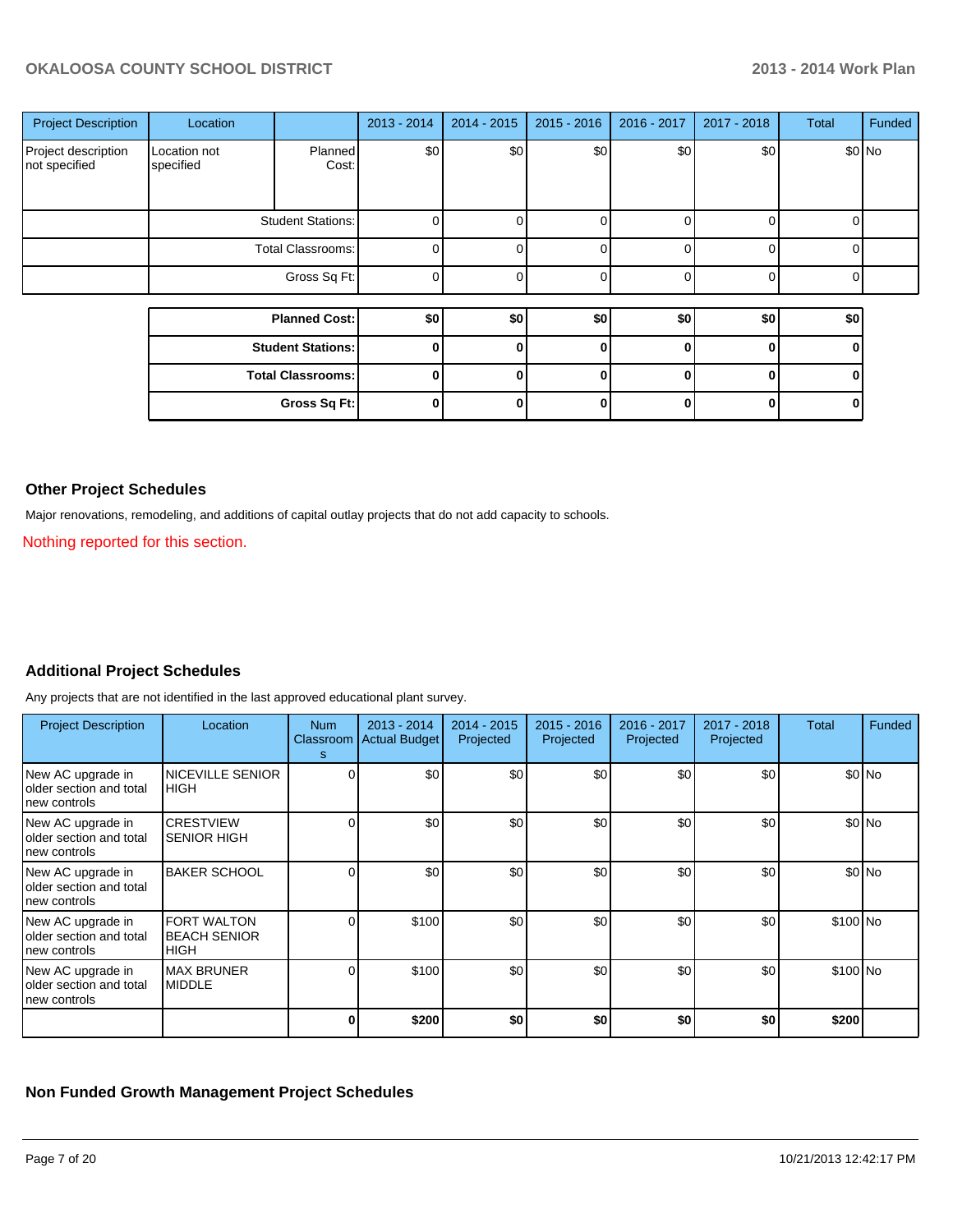| <b>Project Description</b>           | Location                  |                          | 2013 - 2014    | 2014 - 2015 | $2015 - 2016$ | 2016 - 2017 | 2017 - 2018 | <b>Total</b> | Funded |
|--------------------------------------|---------------------------|--------------------------|----------------|-------------|---------------|-------------|-------------|--------------|--------|
| Project description<br>not specified | Location not<br>specified | Planned<br>Cost:         | \$0]           | \$0]        | \$0           | \$0         | \$0         |              | \$0 No |
|                                      |                           | <b>Student Stations:</b> | $\Omega$       |             |               |             |             |              |        |
|                                      | Total Classrooms:         |                          | $\overline{0}$ |             |               |             |             | U            |        |
|                                      |                           | Gross Sq Ft:             | $\overline{0}$ |             |               |             |             | U            |        |
|                                      |                           |                          |                |             |               |             |             |              |        |
|                                      |                           | <b>Planned Cost:</b>     | \$0            | \$0         | \$0           | \$0         | \$0         | \$0          |        |
|                                      |                           | <b>Student Stations:</b> | 0              |             | ŋ             |             | 0           | 0            |        |
|                                      | <b>Total Classrooms:</b>  |                          | $\mathbf{0}$   |             |               |             | O           | ŋ            |        |
|                                      |                           | Gross Sq Ft:             | $\mathbf{0}$   |             |               |             | ŋ           |              |        |

#### **Other Project Schedules**

Major renovations, remodeling, and additions of capital outlay projects that do not add capacity to schools.

Nothing reported for this section.

#### **Additional Project Schedules**

Any projects that are not identified in the last approved educational plant survey.

| <b>Project Description</b>                                     | Location                                                 | <b>Num</b><br>s | $2013 - 2014$<br>Classroom   Actual Budget | 2014 - 2015<br>Projected | $2015 - 2016$<br>Projected | 2016 - 2017<br>Projected | 2017 - 2018<br>Projected | Total     | Funded  |
|----------------------------------------------------------------|----------------------------------------------------------|-----------------|--------------------------------------------|--------------------------|----------------------------|--------------------------|--------------------------|-----------|---------|
| New AC upgrade in<br>Iolder section and total<br>Inew controls | <b>NICEVILLE SENIOR</b><br><b>HIGH</b>                   |                 | \$0                                        | \$0                      | \$0                        | \$0                      | \$0                      |           | $$0$ No |
| New AC upgrade in<br>older section and total<br>Inew controls  | <b>CRESTVIEW</b><br><b>SENIOR HIGH</b>                   |                 | \$0                                        | \$0                      | \$0                        | \$0                      | \$0                      |           | $$0$ No |
| New AC upgrade in<br>Iolder section and total<br>Inew controls | <b>BAKER SCHOOL</b>                                      |                 | \$0                                        | \$0                      | \$0                        | \$0                      | \$0                      |           | $$0$ No |
| New AC upgrade in<br>Iolder section and total<br>Inew controls | <b>FORT WALTON</b><br><b>BEACH SENIOR</b><br><b>HIGH</b> |                 | \$100                                      | \$0                      | \$0                        | \$0 <sub>1</sub>         | \$0                      | \$100 No  |         |
| New AC upgrade in<br>Iolder section and total<br>Inew controls | <b>MAX BRUNER</b><br><b>MIDDLE</b>                       |                 | \$100                                      | \$0                      | \$0                        | \$0                      | \$0                      | $$100$ No |         |
|                                                                |                                                          |                 | \$200                                      | \$0                      | \$0                        | \$0                      | \$0                      | \$200     |         |

#### **Non Funded Growth Management Project Schedules**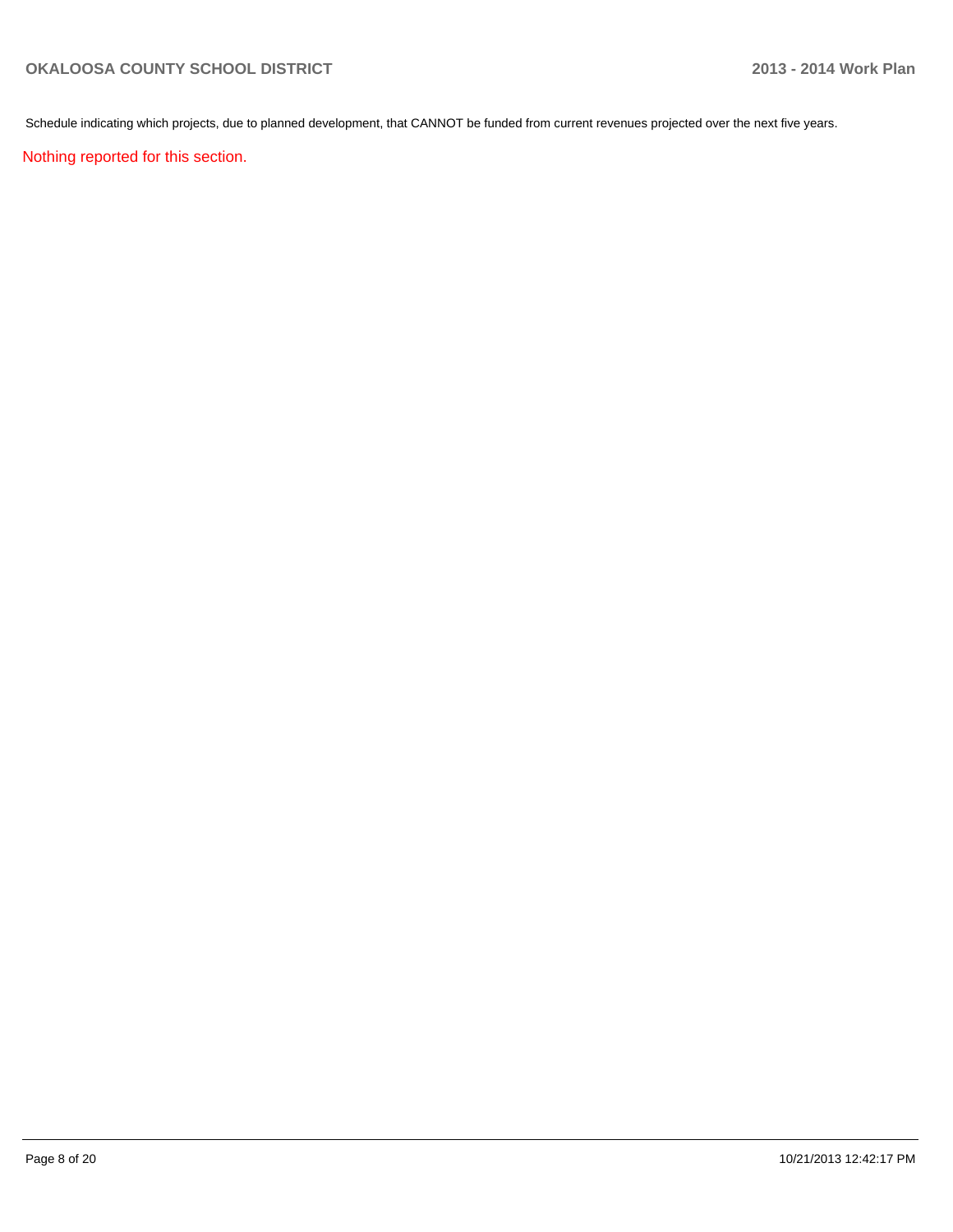Schedule indicating which projects, due to planned development, that CANNOT be funded from current revenues projected over the next five years.

Nothing reported for this section.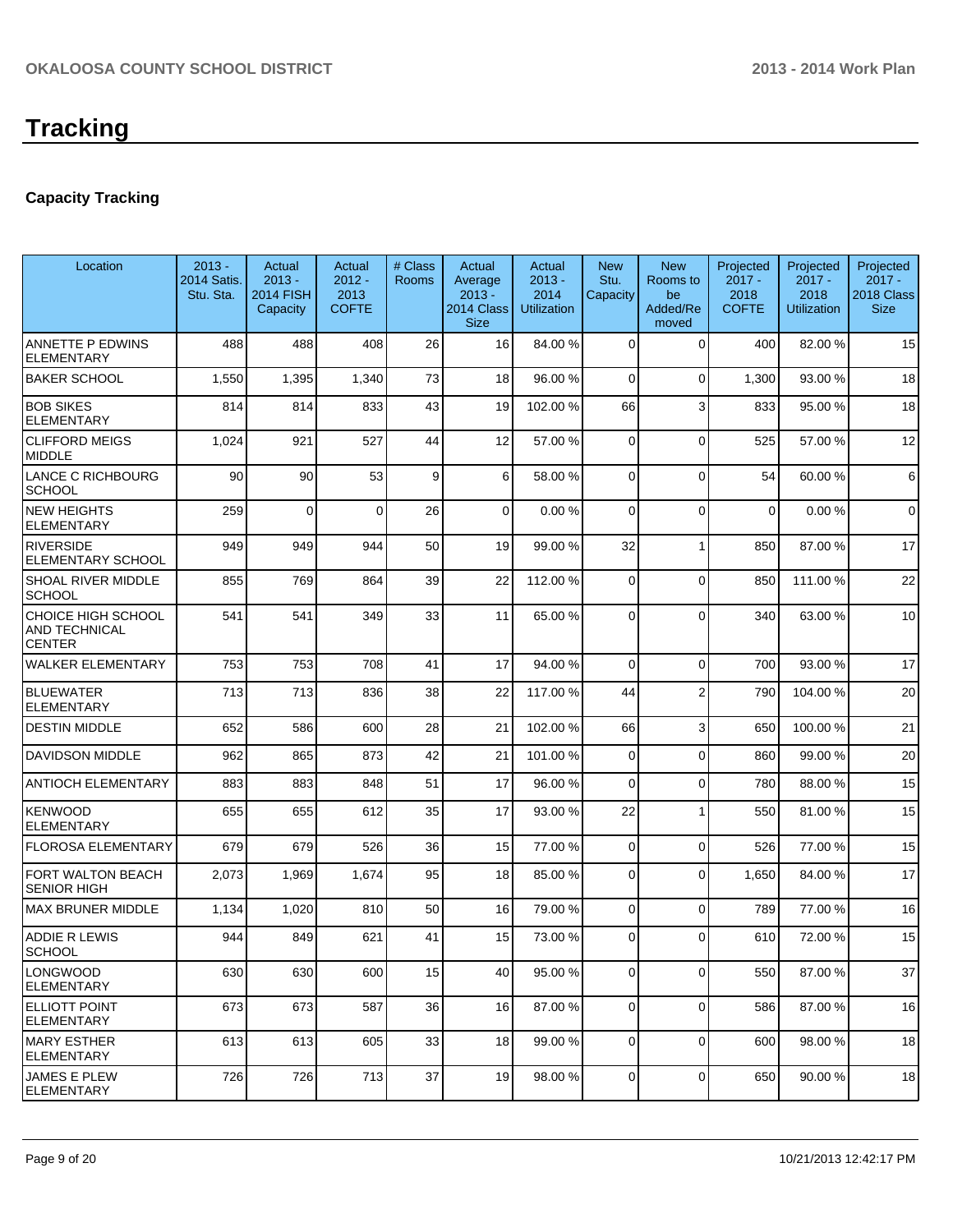# **Tracking**

#### **Capacity Tracking**

| Location                                                           | $2013 -$<br>2014 Satis.<br>Stu. Sta. | Actual<br>$2013 -$<br><b>2014 FISH</b><br>Capacity | Actual<br>$2012 -$<br>2013<br><b>COFTE</b> | # Class<br><b>Rooms</b> | Actual<br>Average<br>$2013 -$<br>2014 Class<br><b>Size</b> | Actual<br>$2013 -$<br>2014<br><b>Utilization</b> | <b>New</b><br>Stu.<br>Capacity | <b>New</b><br>Rooms to<br>be<br>Added/Re<br>moved | Projected<br>$2017 -$<br>2018<br><b>COFTE</b> | Projected<br>$2017 -$<br>2018<br><b>Utilization</b> | Projected<br>$2017 -$<br>2018 Class<br><b>Size</b> |
|--------------------------------------------------------------------|--------------------------------------|----------------------------------------------------|--------------------------------------------|-------------------------|------------------------------------------------------------|--------------------------------------------------|--------------------------------|---------------------------------------------------|-----------------------------------------------|-----------------------------------------------------|----------------------------------------------------|
| <b>ANNETTE P EDWINS</b><br><b>ELEMENTARY</b>                       | 488                                  | 488                                                | 408                                        | 26                      | 16                                                         | 84.00 %                                          | $\Omega$                       | $\Omega$                                          | 400                                           | 82.00%                                              | 15                                                 |
| <b>BAKER SCHOOL</b>                                                | 1,550                                | 1,395                                              | 1,340                                      | 73                      | 18                                                         | 96.00 %                                          | 0                              | $\Omega$                                          | 1,300                                         | 93.00 %                                             | 18                                                 |
| <b>BOB SIKES</b><br><b>ELEMENTARY</b>                              | 814                                  | 814                                                | 833                                        | 43                      | 19                                                         | 102.00 %                                         | 66                             | 3                                                 | 833                                           | 95.00 %                                             | 18                                                 |
| <b>CLIFFORD MEIGS</b><br><b>MIDDLE</b>                             | 1,024                                | 921                                                | 527                                        | 44                      | 12                                                         | 57.00 %                                          | $\Omega$                       | $\Omega$                                          | 525                                           | 57.00 %                                             | 12                                                 |
| LANCE C RICHBOURG<br><b>SCHOOL</b>                                 | 90                                   | 90                                                 | 53                                         | 9                       | $6 \mid$                                                   | 58.00 %                                          | 0                              | $\Omega$                                          | 54                                            | 60.00%                                              | 6                                                  |
| <b>NEW HEIGHTS</b><br><b>ELEMENTARY</b>                            | 259                                  | $\Omega$                                           | $\Omega$                                   | 26                      | $\Omega$                                                   | 0.00%                                            | $\Omega$                       | $\Omega$                                          | $\Omega$                                      | 0.00%                                               | $\mathbf 0$                                        |
| <b>RIVERSIDE</b><br><b>ELEMENTARY SCHOOL</b>                       | 949                                  | 949                                                | 944                                        | 50                      | 19                                                         | 99.00 %                                          | 32                             | 1                                                 | 850                                           | 87.00 %                                             | 17                                                 |
| SHOAL RIVER MIDDLE<br><b>SCHOOL</b>                                | 855                                  | 769                                                | 864                                        | 39                      | 22                                                         | 112.00 %                                         | $\Omega$                       | $\Omega$                                          | 850                                           | 111.00%                                             | 22                                                 |
| <b>CHOICE HIGH SCHOOL</b><br><b>AND TECHNICAL</b><br><b>CENTER</b> | 541                                  | 541                                                | 349                                        | 33                      | 11                                                         | 65.00 %                                          | $\Omega$                       | $\Omega$                                          | 340                                           | 63.00 %                                             | 10                                                 |
| <b>WALKER ELEMENTARY</b>                                           | 753                                  | 753                                                | 708                                        | 41                      | 17                                                         | 94.00 %                                          | $\Omega$                       | $\Omega$                                          | 700                                           | 93.00 %                                             | 17                                                 |
| <b>BLUEWATER</b><br><b>ELEMENTARY</b>                              | 713                                  | 713                                                | 836                                        | 38                      | 22                                                         | 117.00 %                                         | 44                             | $\overline{2}$                                    | 790                                           | 104.00%                                             | 20                                                 |
| <b>DESTIN MIDDLE</b>                                               | 652                                  | 586                                                | 600                                        | 28                      | 21                                                         | 102.00 %                                         | 66                             | 3 <sup>1</sup>                                    | 650                                           | 100.00%                                             | 21                                                 |
| <b>DAVIDSON MIDDLE</b>                                             | 962                                  | 865                                                | 873                                        | 42                      | 21                                                         | 101.00 %                                         | 0                              | $\Omega$                                          | 860                                           | 99.00 %                                             | 20                                                 |
| <b>ANTIOCH ELEMENTARY</b>                                          | 883                                  | 883                                                | 848                                        | 51                      | 17                                                         | 96.00 %                                          | 0                              | $\Omega$                                          | 780                                           | 88.00 %                                             | 15                                                 |
| <b>KENWOOD</b><br><b>ELEMENTARY</b>                                | 655                                  | 655                                                | 612                                        | 35                      | 17                                                         | 93.00 %                                          | 22                             | 1                                                 | 550                                           | 81.00%                                              | 15                                                 |
| <b>FLOROSA ELEMENTARY</b>                                          | 679                                  | 679                                                | 526                                        | 36                      | 15                                                         | 77.00 %                                          | 0                              | $\Omega$                                          | 526                                           | 77.00 %                                             | 15                                                 |
| <b>FORT WALTON BEACH</b><br><b>SENIOR HIGH</b>                     | 2,073                                | 1,969                                              | 1,674                                      | 95                      | 18                                                         | 85.00 %                                          | 0                              | $\Omega$                                          | 1,650                                         | 84.00%                                              | 17                                                 |
| <b>MAX BRUNER MIDDLE</b>                                           | 1,134                                | 1,020                                              | 810                                        | 50                      | 16                                                         | 79.00 %                                          | 0                              | $\Omega$                                          | 789                                           | 77.00 %                                             | 16                                                 |
| <b>ADDIE R LEWIS</b><br><b>SCHOOL</b>                              | 944                                  | 849                                                | 621                                        | 41                      | 15                                                         | 73.00 %                                          | 0                              | $\Omega$                                          | 610                                           | 72.00 %                                             | 15                                                 |
| LONGWOOD<br>ELEMENTARY                                             | 630                                  | 630                                                | 600                                        | 15                      | 40                                                         | 95.00 %                                          | 0                              | $\mathbf 0$                                       | 550                                           | 87.00 %                                             | 37                                                 |
| IELLIOTT POINT<br> ELEMENTARY                                      | 673                                  | 673                                                | 587                                        | 36                      | 16                                                         | 87.00 %                                          | $\overline{0}$                 | $\overline{0}$                                    | 586                                           | 87.00 %                                             | 16                                                 |
| <b>MARY ESTHER</b><br>ELEMENTARY                                   | 613                                  | 613                                                | 605                                        | 33                      | 18                                                         | 99.00 %                                          | 0                              | 0                                                 | 600                                           | 98.00 %                                             | 18                                                 |
| <b>JAMES E PLEW</b><br><b>ELEMENTARY</b>                           | 726                                  | 726                                                | 713                                        | 37                      | 19                                                         | 98.00 %                                          | 0                              | 0                                                 | 650                                           | 90.00%                                              | 18                                                 |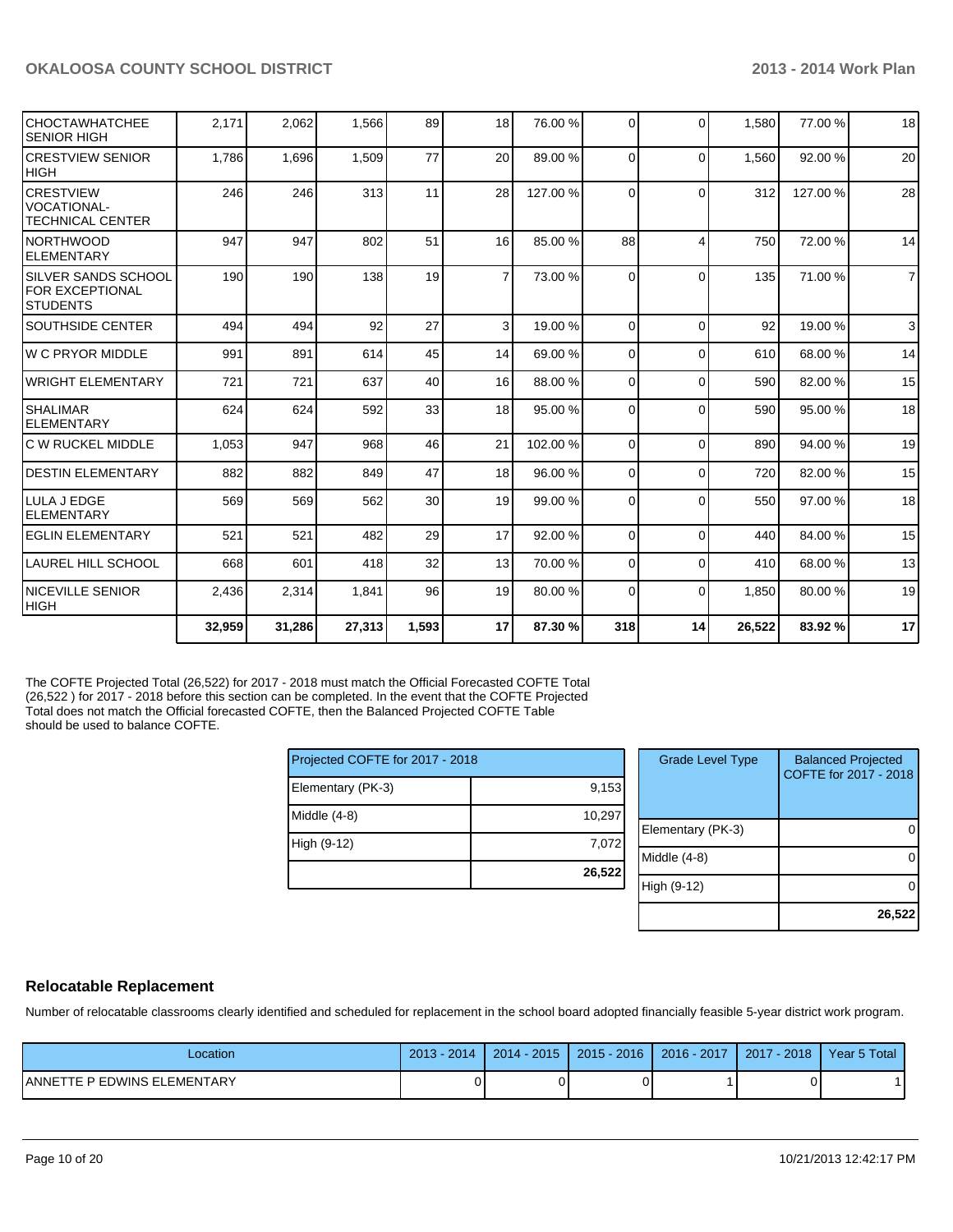| CHOCTAWHATCHEE<br><b>SENIOR HIGH</b>                              | 2,171  | 2,062  | 1,566  | 89              | 18 <sup>1</sup> | 76.00 %  | $\Omega$ | $\Omega$       | 1,580  | 77.00 % | 18             |
|-------------------------------------------------------------------|--------|--------|--------|-----------------|-----------------|----------|----------|----------------|--------|---------|----------------|
| <b>CRESTVIEW SENIOR</b><br>IHIGH                                  | 1,786  | 1,696  | 1,509  | 77              | 20              | 89.00 %  | $\Omega$ | $\Omega$       | 1,560  | 92.00 % | 20             |
| <b>CRESTVIEW</b><br><b>VOCATIONAL-</b><br><b>TECHNICAL CENTER</b> | 246    | 246    | 313    | 11              | 28              | 127.00 % | $\Omega$ | $\Omega$       | 312    | 127.00% | 28             |
| <b>NORTHWOOD</b><br><b>IELEMENTARY</b>                            | 947    | 947    | 802    | 51              | 16 <sup>1</sup> | 85.00 %  | 88       | $\overline{4}$ | 750    | 72.00 % | 14             |
| <b>SILVER SANDS SCHOOL</b><br>FOR EXCEPTIONAL<br><b>STUDENTS</b>  | 190    | 190    | 138    | 19              | $\overline{7}$  | 73.00 %  | $\Omega$ | $\Omega$       | 135    | 71.00 % | $\overline{7}$ |
| <b>SOUTHSIDE CENTER</b>                                           | 494    | 494    | 92     | 27              | 3               | 19.00 %  | $\Omega$ | $\Omega$       | 92     | 19.00 % | 3              |
| W C PRYOR MIDDLE                                                  | 991    | 891    | 614    | 45              | 14              | 69.00 %  | $\Omega$ | $\Omega$       | 610    | 68.00 % | 14             |
| <b>WRIGHT ELEMENTARY</b>                                          | 721    | 721    | 637    | 40              | 16              | 88.00 %  | $\Omega$ | $\Omega$       | 590    | 82.00 % | 15             |
| <b>SHALIMAR</b><br><b>ELEMENTARY</b>                              | 624    | 624    | 592    | 33              | 18              | 95.00 %  | 0        | $\Omega$       | 590    | 95.00 % | 18             |
| IC W RUCKEL MIDDLE                                                | 1,053  | 947    | 968    | 46              | 21              | 102.00%  | $\Omega$ | $\Omega$       | 890    | 94.00%  | 19             |
| <b>DESTIN ELEMENTARY</b>                                          | 882    | 882    | 849    | 47              | 18 <sup>1</sup> | 96.00 %  | $\Omega$ | $\Omega$       | 720    | 82.00%  | 15             |
| <b>I</b> LULA J EDGE<br><b>ELEMENTARY</b>                         | 569    | 569    | 562    | 30 <sup>1</sup> | 19              | 99.00 %  | $\Omega$ | $\Omega$       | 550    | 97.00 % | 18             |
| <b>EGLIN ELEMENTARY</b>                                           | 521    | 521    | 482    | 29              | 17              | 92.00 %  | $\Omega$ | $\Omega$       | 440    | 84.00%  | 15             |
| LAUREL HILL SCHOOL                                                | 668    | 601    | 418    | 32              | 13              | 70.00 %  | $\Omega$ | $\Omega$       | 410    | 68.00 % | 13             |
| <b>INICEVILLE SENIOR</b><br> HIGH                                 | 2,436  | 2,314  | 1,841  | 96              | 19              | 80.00 %  | $\Omega$ | $\Omega$       | 1,850  | 80.00 % | 19             |
|                                                                   | 32,959 | 31,286 | 27,313 | 1,593           | 17              | 87.30 %  | 318      | 14             | 26,522 | 83.92 % | 17             |

The COFTE Projected Total (26,522) for 2017 - 2018 must match the Official Forecasted COFTE Total (26,522 ) for 2017 - 2018 before this section can be completed. In the event that the COFTE Projected Total does not match the Official forecasted COFTE, then the Balanced Projected COFTE Table should be used to balance COFTE.

| Projected COFTE for 2017 - 2018 |        |
|---------------------------------|--------|
| Elementary (PK-3)               | 9,153  |
| Middle $(4-8)$                  | 10,297 |
| High (9-12)                     | 7,072  |
|                                 | 26,522 |

| <b>Grade Level Type</b> | <b>Balanced Projected</b><br>COFTE for 2017 - 2018 |
|-------------------------|----------------------------------------------------|
| Elementary (PK-3)       |                                                    |
| Middle (4-8)            |                                                    |
| High (9-12)             |                                                    |
|                         | 26,522                                             |

#### **Relocatable Replacement**

Number of relocatable classrooms clearly identified and scheduled for replacement in the school board adopted financially feasible 5-year district work program.

| -ocation                             | 2013<br>2014 | 2015<br>$2014 -$ | 2016<br>2015 | 2016 - 2017 | 2018<br>2017 | Year 5 Total |
|--------------------------------------|--------------|------------------|--------------|-------------|--------------|--------------|
| LEMENTARY_<br>P EDWINS EL<br>ANNETTE |              |                  |              |             |              |              |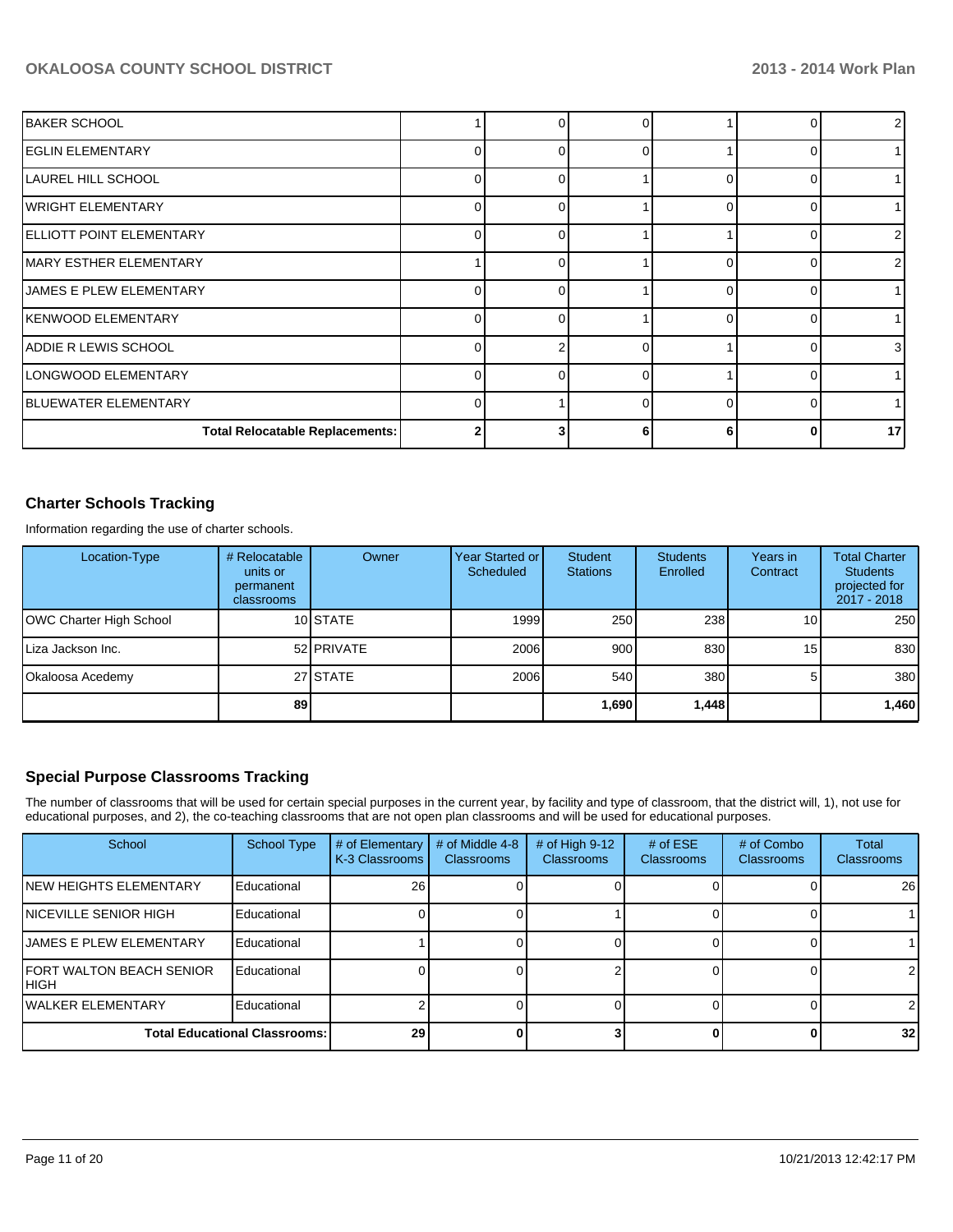| IBAKER SCHOOL                          |          | ŋ        |   |   |                 |
|----------------------------------------|----------|----------|---|---|-----------------|
| IEGLIN ELEMENTARY                      | ∩        |          | U |   |                 |
| <b>LAUREL HILL SCHOOL</b>              | ∩        |          |   |   |                 |
| lwright Elementary                     | O        |          |   |   |                 |
| ELLIOTT POINT ELEMENTARY               | $\Omega$ | 0        |   |   | 2               |
| MARY ESTHER ELEMENTARY                 |          |          |   |   | 2               |
| <b>JAMES E PLEW ELEMENTARY</b>         |          | U        |   |   |                 |
| İKENWOOD ELEMENTARY                    |          |          |   |   |                 |
| ADDIE R LEWIS SCHOOL                   |          |          | r |   | 3 <sup>1</sup>  |
| LONGWOOD ELEMENTARY                    | n        | $\Omega$ | ∩ |   |                 |
| IBLUEWATER ELEMENTARY                  | U        |          | U | U |                 |
| <b>Total Relocatable Replacements:</b> | 2        |          |   |   | 17 <sup>1</sup> |

#### **Charter Schools Tracking**

Information regarding the use of charter schools.

| Location-Type           | # Relocatable<br>units or<br>permanent<br>classrooms | Owner      | Year Started or<br><b>Scheduled</b> | Student<br><b>Stations</b> | <b>Students</b><br>Enrolled | Years in<br>Contract | <b>Total Charter</b><br><b>Students</b><br>projected for<br>2017 - 2018 |
|-------------------------|------------------------------------------------------|------------|-------------------------------------|----------------------------|-----------------------------|----------------------|-------------------------------------------------------------------------|
| OWC Charter High School |                                                      | 10 STATE   | 1999                                | 250                        | 238                         | 10                   | 250                                                                     |
| Liza Jackson Inc.       |                                                      | 52 PRIVATE | 2006                                | 900                        | 830                         | 15                   | 830                                                                     |
| Okaloosa Acedemy        |                                                      | 27 STATE   | 2006                                | 540                        | 380                         |                      | 380                                                                     |
|                         | 89                                                   |            |                                     | 1,690                      | 1,448                       |                      | 1,460                                                                   |

#### **Special Purpose Classrooms Tracking**

The number of classrooms that will be used for certain special purposes in the current year, by facility and type of classroom, that the district will, 1), not use for educational purposes, and 2), the co-teaching classrooms that are not open plan classrooms and will be used for educational purposes.

| School                                    | <b>School Type</b> | # of Elementary<br>K-3 Classrooms | # of Middle 4-8<br><b>Classrooms</b> | # of High $9-12$<br><b>Classrooms</b> | # of $ESE$<br><b>Classrooms</b> | # of Combo<br><b>Classrooms</b> | Total<br>Classrooms |
|-------------------------------------------|--------------------|-----------------------------------|--------------------------------------|---------------------------------------|---------------------------------|---------------------------------|---------------------|
| INEW HEIGHTS ELEMENTARY                   | Educational        | 26 <sup>1</sup>                   |                                      |                                       |                                 |                                 | 26                  |
| <b>INICEVILLE SENIOR HIGH</b>             | Educational        |                                   |                                      |                                       |                                 |                                 |                     |
| <b>IJAMES E PLEW ELEMENTARY</b>           | Educational        |                                   |                                      |                                       |                                 |                                 |                     |
| <b>IFORT WALTON BEACH SENIOR</b><br>IHIGH | Educational        |                                   |                                      |                                       |                                 |                                 | $\overline{2}$      |
| <b>IWALKER ELEMENTARY</b>                 | Educational        |                                   |                                      |                                       |                                 |                                 | $\mathcal{P}$       |
| <b>Total Educational Classrooms:</b>      |                    | 29                                |                                      |                                       |                                 |                                 | 32 <sub>1</sub>     |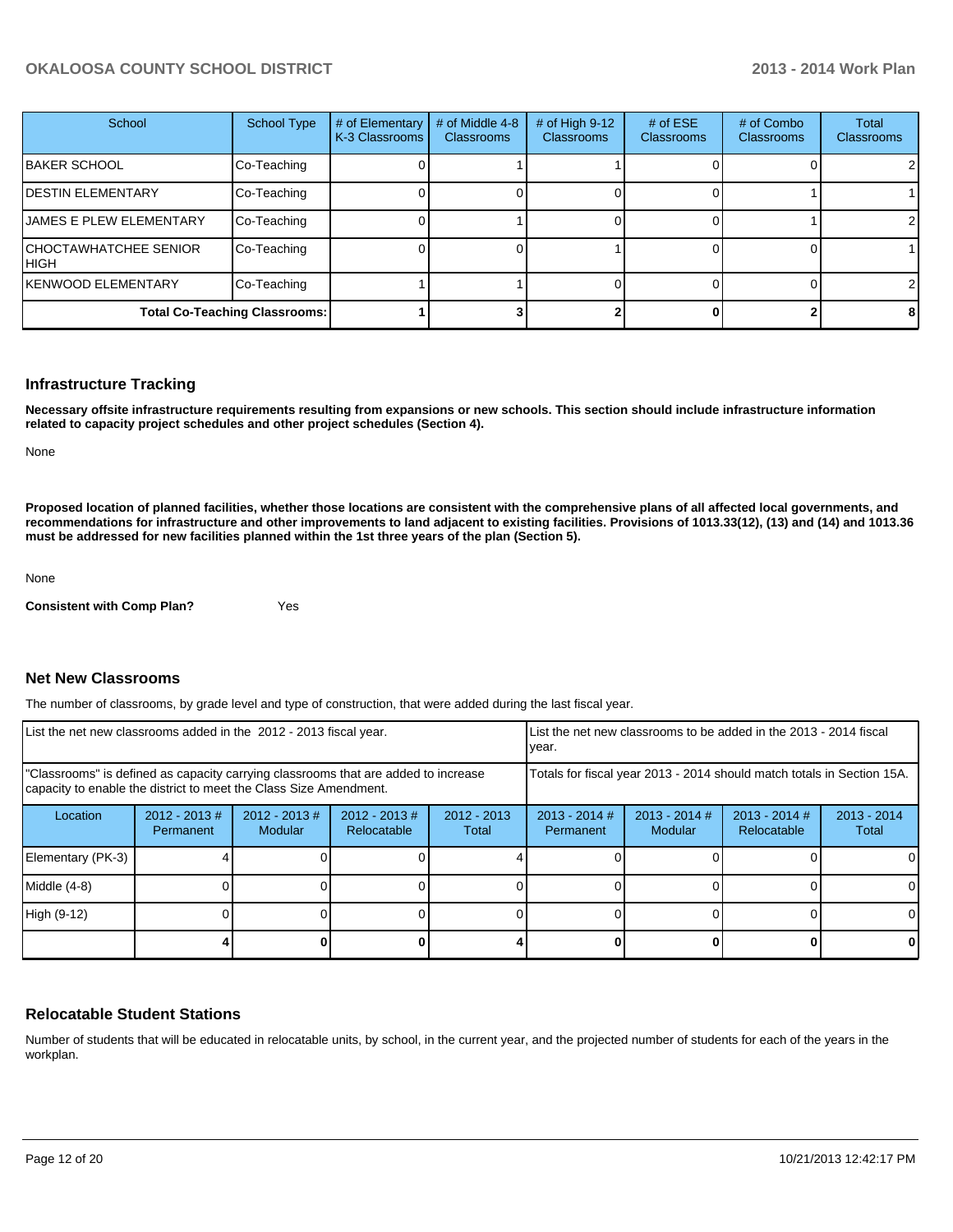| School                                      | School Type | # of Elementary<br>K-3 Classrooms | # of Middle 4-8<br><b>Classrooms</b> | # of High 9-12<br><b>Classrooms</b> | # of $ESE$<br><b>Classrooms</b> | # of Combo<br><b>Classrooms</b> | Total<br>Classrooms |
|---------------------------------------------|-------------|-----------------------------------|--------------------------------------|-------------------------------------|---------------------------------|---------------------------------|---------------------|
| IBAKER SCHOOL                               | Co-Teaching |                                   |                                      |                                     |                                 |                                 | 2                   |
| <b>DESTIN ELEMENTARY</b>                    | Co-Teaching |                                   |                                      |                                     |                                 |                                 |                     |
| <b>JAMES E PLEW ELEMENTARY</b>              | Co-Teaching |                                   |                                      |                                     |                                 |                                 |                     |
| <b>CHOCTAWHATCHEE SENIOR</b><br><b>HIGH</b> | Co-Teaching |                                   |                                      |                                     |                                 |                                 |                     |
| <b>KENWOOD ELEMENTARY</b>                   | Co-Teaching |                                   |                                      |                                     |                                 |                                 | 2                   |
| <b>Total Co-Teaching Classrooms:</b>        |             |                                   |                                      |                                     |                                 |                                 | 8                   |

#### **Infrastructure Tracking**

**Necessary offsite infrastructure requirements resulting from expansions or new schools. This section should include infrastructure information related to capacity project schedules and other project schedules (Section 4).**

None

**Proposed location of planned facilities, whether those locations are consistent with the comprehensive plans of all affected local governments, and recommendations for infrastructure and other improvements to land adjacent to existing facilities. Provisions of 1013.33(12), (13) and (14) and 1013.36 must be addressed for new facilities planned within the 1st three years of the plan (Section 5).**

None

**Consistent with Comp Plan?** Yes

#### **Net New Classrooms**

The number of classrooms, by grade level and type of construction, that were added during the last fiscal year.

| List the net new classrooms added in the 2012 - 2013 fiscal year.                                                                                       |                               |                                   |                                 |                        | List the net new classrooms to be added in the 2013 - 2014 fiscal<br>Ivear. |                            |                                |                        |
|---------------------------------------------------------------------------------------------------------------------------------------------------------|-------------------------------|-----------------------------------|---------------------------------|------------------------|-----------------------------------------------------------------------------|----------------------------|--------------------------------|------------------------|
| "Classrooms" is defined as capacity carrying classrooms that are added to increase<br>capacity to enable the district to meet the Class Size Amendment. |                               |                                   |                                 |                        | Totals for fiscal year 2013 - 2014 should match totals in Section 15A.      |                            |                                |                        |
| Location                                                                                                                                                | $2012 - 2013 \#$<br>Permanent | $2012 - 2013$ #<br><b>Modular</b> | $2012 - 2013 \#$<br>Relocatable | $2012 - 2013$<br>Total | $2013 - 2014$ #<br>Permanent                                                | $2013 - 2014$ #<br>Modular | $2013 - 2014$ #<br>Relocatable | $2013 - 2014$<br>Total |
| Elementary (PK-3)                                                                                                                                       |                               |                                   |                                 |                        |                                                                             |                            |                                | ΩI                     |
| Middle (4-8)                                                                                                                                            |                               |                                   |                                 |                        |                                                                             |                            |                                | 0                      |
| High (9-12)                                                                                                                                             |                               |                                   |                                 |                        |                                                                             |                            |                                | $\Omega$               |
|                                                                                                                                                         |                               |                                   |                                 |                        |                                                                             |                            |                                | 0                      |

#### **Relocatable Student Stations**

Number of students that will be educated in relocatable units, by school, in the current year, and the projected number of students for each of the years in the workplan.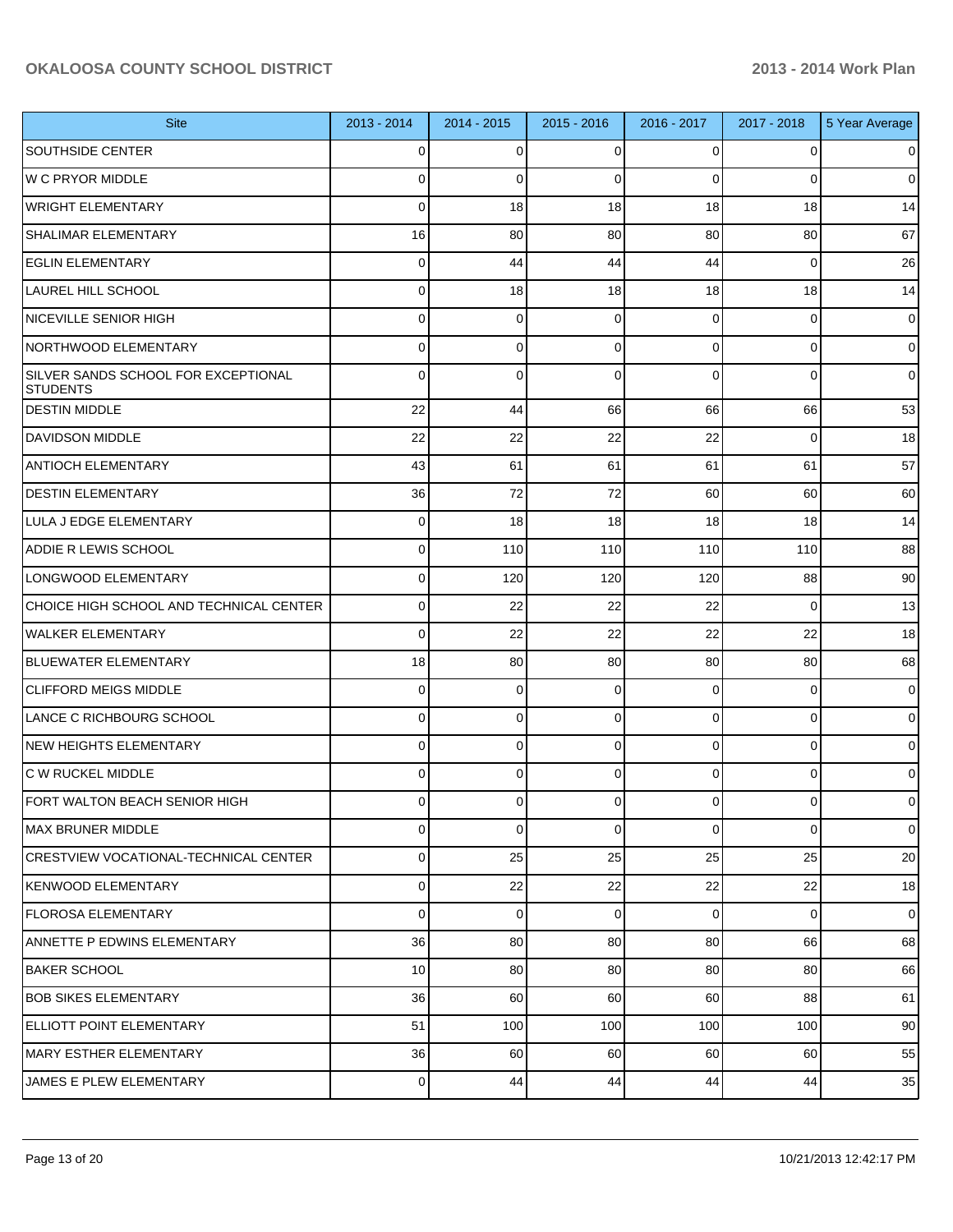| <b>Site</b>                                            | 2013 - 2014     | 2014 - 2015 | $2015 - 2016$ | 2016 - 2017    | 2017 - 2018    | 5 Year Average  |
|--------------------------------------------------------|-----------------|-------------|---------------|----------------|----------------|-----------------|
| <b>SOUTHSIDE CENTER</b>                                | 0               | $\Omega$    | 0             | $\Omega$       | 0              | $\overline{0}$  |
| <b>W C PRYOR MIDDLE</b>                                | 0               | $\Omega$    | 0             | $\Omega$       | $\Omega$       | $\overline{0}$  |
| <b>WRIGHT ELEMENTARY</b>                               | 0               | 18          | 18            | 18             | 18             | 14              |
| SHALIMAR ELEMENTARY                                    | 16              | 80          | 80            | 80             | 80             | 67              |
| <b>EGLIN ELEMENTARY</b>                                | 0               | 44          | 44            | 44             | $\Omega$       | 26              |
| <b>LAUREL HILL SCHOOL</b>                              | 0               | 18          | 18            | 18             | 18             | 14              |
| <b>NICEVILLE SENIOR HIGH</b>                           | 0               | $\mathbf 0$ | 0             | $\Omega$       | $\Omega$       | $\overline{0}$  |
| NORTHWOOD ELEMENTARY                                   | 0               | $\Omega$    | 0             | $\Omega$       | $\Omega$       | $\overline{0}$  |
| SILVER SANDS SCHOOL FOR EXCEPTIONAL<br><b>STUDENTS</b> | $\Omega$        | $\Omega$    | $\Omega$      | $\Omega$       | $\Omega$       | $\overline{0}$  |
| <b>DESTIN MIDDLE</b>                                   | 22              | 44          | 66            | 66             | 66             | 53              |
| DAVIDSON MIDDLE                                        | 22              | 22          | 22            | 22             | $\Omega$       | 18              |
| <b>ANTIOCH ELEMENTARY</b>                              | 43              | 61          | 61            | 61             | 61             | 57              |
| <b>DESTIN ELEMENTARY</b>                               | 36              | 72          | 72            | 60             | 60             | 60              |
| LULA J EDGE ELEMENTARY                                 | 0               | 18          | 18            | 18             | 18             | 14              |
| <b>ADDIE R LEWIS SCHOOL</b>                            | 0               | 110         | 110           | 110            | 110            | 88              |
| LONGWOOD ELEMENTARY                                    | 0               | 120         | 120           | 120            | 88             | 90 <sub>1</sub> |
| CHOICE HIGH SCHOOL AND TECHNICAL CENTER                | 0               | 22          | 22            | 22             | $\Omega$       | 13              |
| WALKER ELEMENTARY                                      | $\Omega$        | 22          | 22            | 22             | 22             | 18              |
| BLUEWATER ELEMENTARY                                   | 18              | 80          | 80            | 80             | 80             | 68              |
| <b>CLIFFORD MEIGS MIDDLE</b>                           | 0               | $\mathbf 0$ | 0             | $\overline{0}$ | $\overline{0}$ | $\overline{0}$  |
| LANCE C RICHBOURG SCHOOL                               | 0               | 0           | 0             | $\Omega$       | $\mathbf 0$    | $\overline{0}$  |
| <b>NEW HEIGHTS ELEMENTARY</b>                          | 0               | $\mathbf 0$ | 0             | $\overline{0}$ | $\mathbf 0$    | $\overline{0}$  |
| IC W RUCKEL MIDDLE                                     | 0               | 0           | 0             | $\overline{0}$ | $\mathbf 0$    | $\overline{0}$  |
| FORT WALTON BEACH SENIOR HIGH                          | $\Omega$        | $\mathbf 0$ | 0             | 0              | $\mathbf 0$    | $\mathbf{O}$    |
| MAX BRUNER MIDDLE                                      | $\Omega$        | $\mathbf 0$ | 0             | $\Omega$       | $\Omega$       | $\overline{0}$  |
| <b>CRESTVIEW VOCATIONAL-TECHNICAL CENTER</b>           | $\Omega$        | 25          | 25            | 25             | 25             | 20              |
| KENWOOD ELEMENTARY                                     | $\Omega$        | 22          | 22            | 22             | 22             | 18              |
| FLOROSA ELEMENTARY                                     | $\Omega$        | $\mathbf 0$ | 0             | $\overline{0}$ | $\overline{0}$ | $\overline{0}$  |
| ANNETTE P EDWINS ELEMENTARY                            | 36              | 80          | 80            | 80             | 66             | 68              |
| <b>BAKER SCHOOL</b>                                    | 10 <sup>1</sup> | 80          | 80            | 80             | 80             | 66              |
| <b>BOB SIKES ELEMENTARY</b>                            | 36              | 60          | 60            | 60             | 88             | 61              |
| ELLIOTT POINT ELEMENTARY                               | 51              | 100         | 100           | 100            | 100            | 90 <sub>1</sub> |
| MARY ESTHER ELEMENTARY                                 | 36              | 60          | 60            | 60             | 60             | 55              |
| JAMES E PLEW ELEMENTARY                                | $\overline{0}$  | 44          | 44            | 44             | 44             | 35              |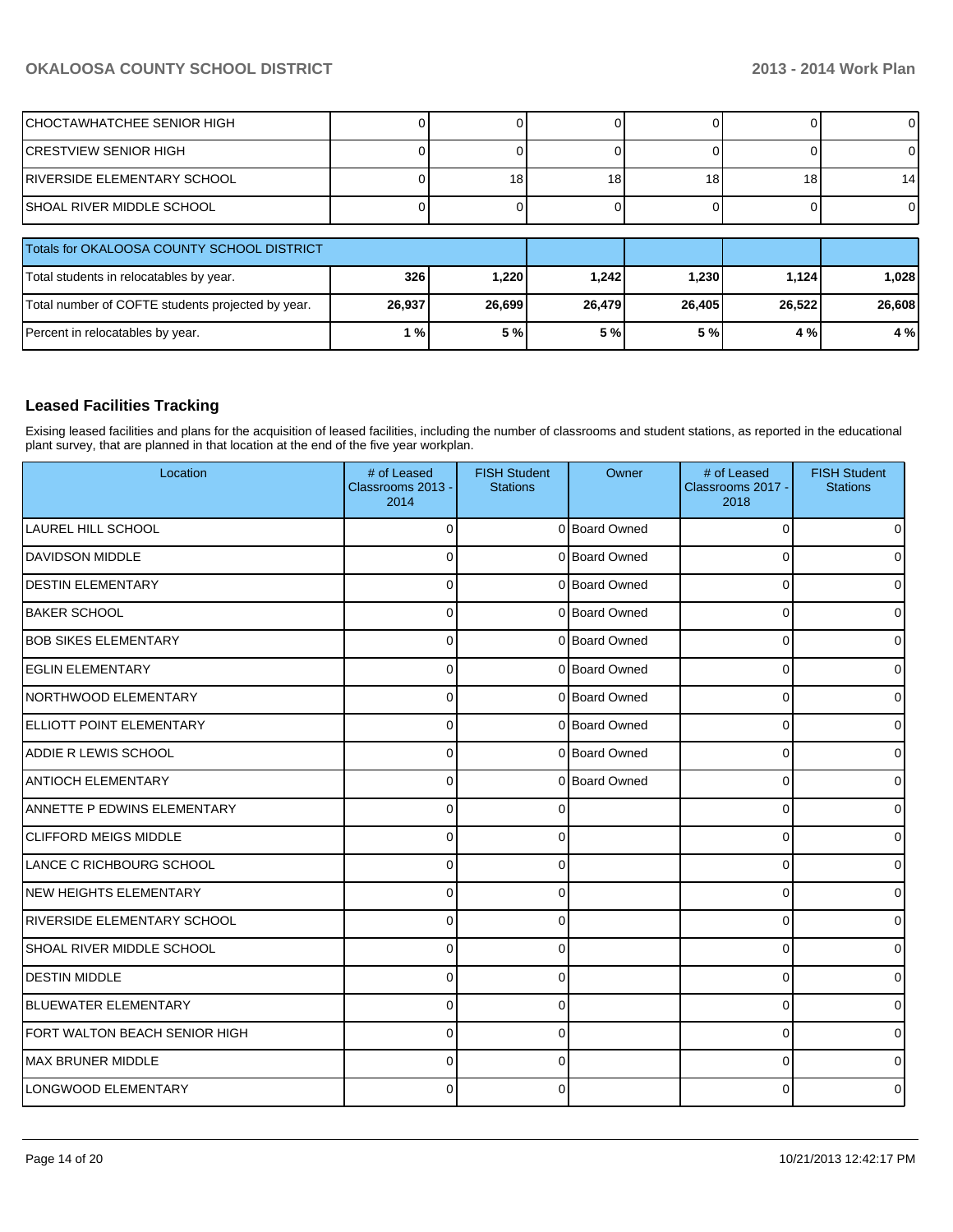| ICHOCTAWHATCHEE SENIOR HIGH                       |        |                 |                 |        |        | 0               |
|---------------------------------------------------|--------|-----------------|-----------------|--------|--------|-----------------|
| ICRESTVIEW SENIOR HIGH                            |        |                 |                 |        |        |                 |
| IRIVERSIDE ELEMENTARY SCHOOL                      |        | 18 <sub>1</sub> | 18 <sub>1</sub> | 18     | 18     | 14 <sup>1</sup> |
| ISHOAL RIVER MIDDLE SCHOOL                        |        |                 |                 |        |        | $\overline{0}$  |
| Totals for OKALOOSA COUNTY SCHOOL DISTRICT        |        |                 |                 |        |        |                 |
| Total students in relocatables by year.           | 326    | 1.220           | 1.242           | 1.230  | 1,124  | 1,028           |
| Total number of COFTE students projected by year. | 26,937 | 26,699          | 26,479          | 26,405 | 26,522 | 26,608          |
| Percent in relocatables by year.                  | 1%     | 5 %             | 5 %             | 5 %    | 4 %    | 4 %             |

#### **Leased Facilities Tracking**

Exising leased facilities and plans for the acquisition of leased facilities, including the number of classrooms and student stations, as reported in the educational plant survey, that are planned in that location at the end of the five year workplan.

| Location                           | # of Leased<br>Classrooms 2013 -<br>2014 | <b>FISH Student</b><br><b>Stations</b> | Owner         | # of Leased<br>Classrooms 2017 -<br>2018 | <b>FISH Student</b><br><b>Stations</b> |
|------------------------------------|------------------------------------------|----------------------------------------|---------------|------------------------------------------|----------------------------------------|
| LAUREL HILL SCHOOL                 | $\Omega$                                 |                                        | 0 Board Owned | $\overline{0}$                           | $\overline{0}$                         |
| <b>DAVIDSON MIDDLE</b>             | $\Omega$                                 |                                        | 0 Board Owned | 0                                        | $\overline{0}$                         |
| <b>DESTIN ELEMENTARY</b>           | $\Omega$                                 |                                        | 0 Board Owned | 0                                        | 0                                      |
| <b>BAKER SCHOOL</b>                | $\Omega$                                 |                                        | 0 Board Owned | 0                                        | $\overline{0}$                         |
| <b>BOB SIKES ELEMENTARY</b>        | $\mathbf 0$                              |                                        | 0 Board Owned | 0                                        | $\overline{0}$                         |
| <b>EGLIN ELEMENTARY</b>            | $\Omega$                                 |                                        | 0 Board Owned | 0                                        | $\overline{0}$                         |
| NORTHWOOD ELEMENTARY               | $\Omega$                                 |                                        | 0 Board Owned | 0                                        | $\overline{0}$                         |
| ELLIOTT POINT ELEMENTARY           | $\Omega$                                 |                                        | 0 Board Owned | $\Omega$                                 | 0l                                     |
| <b>ADDIE R LEWIS SCHOOL</b>        | $\Omega$                                 |                                        | 0 Board Owned | $\Omega$                                 | $\overline{0}$                         |
| <b>ANTIOCH ELEMENTARY</b>          | $\Omega$                                 |                                        | 0 Board Owned | $\Omega$                                 | $\Omega$                               |
| <b>ANNETTE P EDWINS ELEMENTARY</b> | $\Omega$                                 | ∩                                      |               | 0                                        | $\overline{0}$                         |
| <b>CLIFFORD MEIGS MIDDLE</b>       | $\Omega$                                 | $\Omega$                               |               | $\Omega$                                 | $\overline{0}$                         |
| LANCE C RICHBOURG SCHOOL           | $\Omega$                                 | $\Omega$                               |               | $\Omega$                                 | $\overline{0}$                         |
| NEW HEIGHTS ELEMENTARY             | $\Omega$                                 | $\Omega$                               |               | 0                                        | $\overline{0}$                         |
| <b>RIVERSIDE ELEMENTARY SCHOOL</b> | $\Omega$                                 | $\Omega$                               |               | 0                                        | $\overline{0}$                         |
| SHOAL RIVER MIDDLE SCHOOL          | $\Omega$                                 | $\Omega$                               |               | 0                                        | $\overline{0}$                         |
| <b>DESTIN MIDDLE</b>               | $\Omega$                                 | $\Omega$                               |               | 0                                        | $\overline{0}$                         |
| BLUEWATER ELEMENTARY               | $\Omega$                                 | $\Omega$                               |               | 0                                        | $\overline{0}$                         |
| FORT WALTON BEACH SENIOR HIGH      | $\Omega$                                 | 0                                      |               | $\Omega$                                 | ٥I                                     |
| <b>MAX BRUNER MIDDLE</b>           | $\Omega$                                 | $\Omega$                               |               | 0                                        | 0                                      |
| LONGWOOD ELEMENTARY                | $\Omega$                                 | 0                                      |               | 0                                        | 0                                      |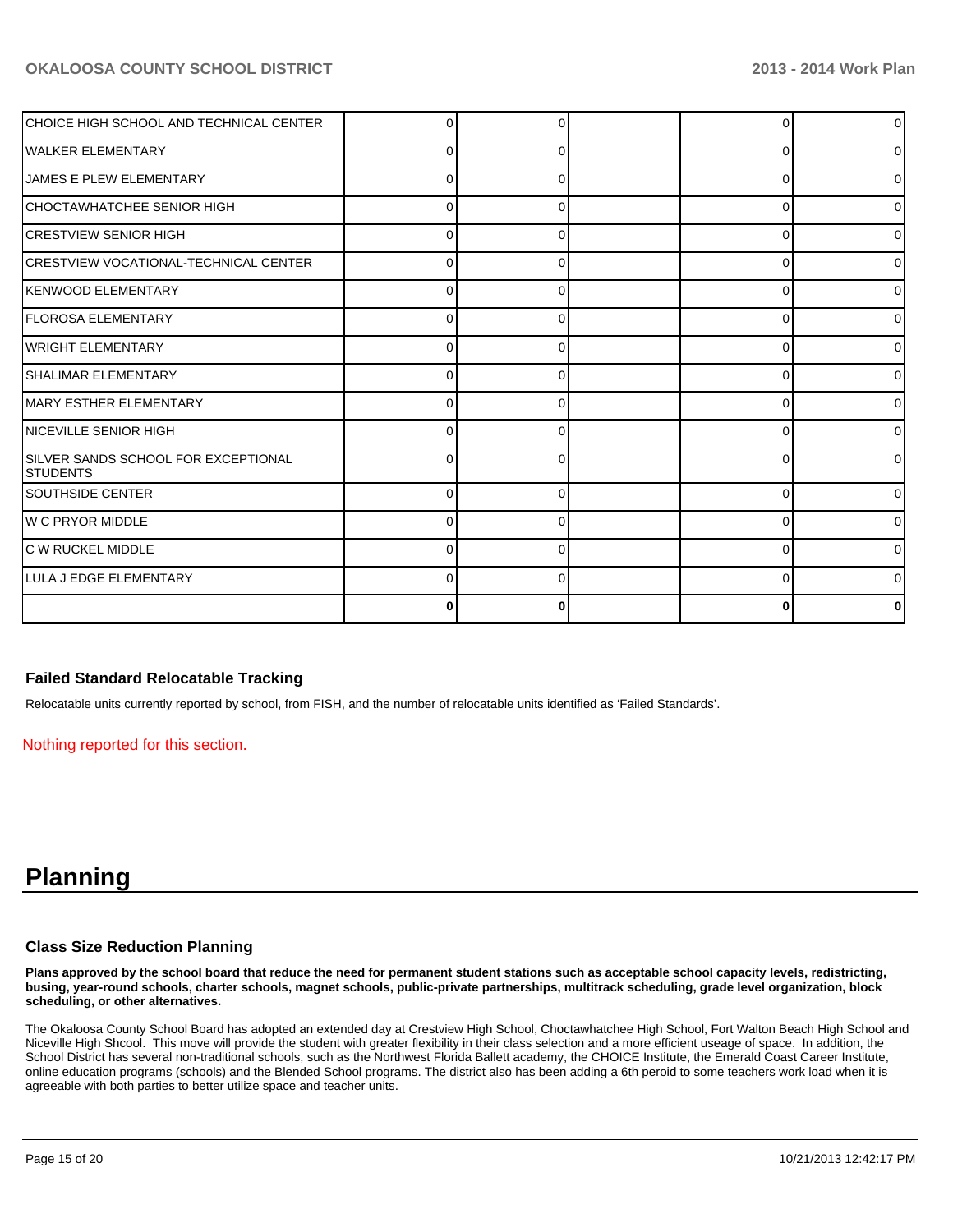| ICHOICE HIGH SCHOOL AND TECHNICAL CENTER         |   |   |   | ٥I |
|--------------------------------------------------|---|---|---|----|
| <b>IWALKER ELEMENTARY</b>                        |   |   |   | 01 |
| <b>IJAMES E PLEW ELEMENTARY</b>                  |   |   | ŋ | 01 |
| ICHOCTAWHATCHEE SENIOR HIGH                      | 0 |   |   | 0  |
| ICRESTVIEW SENIOR HIGH                           | O |   |   | 01 |
| ICRESTVIEW VOCATIONAL-TECHNICAL CENTER           | 0 |   | O | 01 |
| <b>IKENWOOD ELEMENTARY</b>                       | 0 |   | ∩ | 01 |
| <b>IFLOROSA ELEMENTARY</b>                       | 0 |   | 0 | 01 |
| <b>WRIGHT ELEMENTARY</b>                         | 0 |   | 0 | ٥I |
| SHALIMAR ELEMENTARY                              | 0 | ŋ | ∩ | ٥I |
| MARY ESTHER ELEMENTARY                           | 0 | U | ∩ | 01 |
| <b>INICEVILLE SENIOR HIGH</b>                    | 0 |   | n | 0  |
| SILVER SANDS SCHOOL FOR EXCEPTIONAL<br>ISTUDENTS | n |   |   | ΩI |
| SOUTHSIDE CENTER                                 | 0 | ŋ | 0 | 0  |
| IW C PRYOR MIDDLE                                |   |   | C | 0  |
| C W RUCKEL MIDDLE                                | 0 | O | n | 0  |
| ILULA J EDGE ELEMENTARY                          | 0 | U | ∩ | 01 |
|                                                  | 0 |   |   |    |

#### **Failed Standard Relocatable Tracking**

Relocatable units currently reported by school, from FISH, and the number of relocatable units identified as 'Failed Standards'.

Nothing reported for this section.

## **Planning**

#### **Class Size Reduction Planning**

**Plans approved by the school board that reduce the need for permanent student stations such as acceptable school capacity levels, redistricting, busing, year-round schools, charter schools, magnet schools, public-private partnerships, multitrack scheduling, grade level organization, block scheduling, or other alternatives.**

The Okaloosa County School Board has adopted an extended day at Crestview High School, Choctawhatchee High School, Fort Walton Beach High School and Niceville High Shcool. This move will provide the student with greater flexibility in their class selection and a more efficient useage of space. In addition, the School District has several non-traditional schools, such as the Northwest Florida Ballett academy, the CHOICE Institute, the Emerald Coast Career Institute, online education programs (schools) and the Blended School programs. The district also has been adding a 6th peroid to some teachers work load when it is agreeable with both parties to better utilize space and teacher units.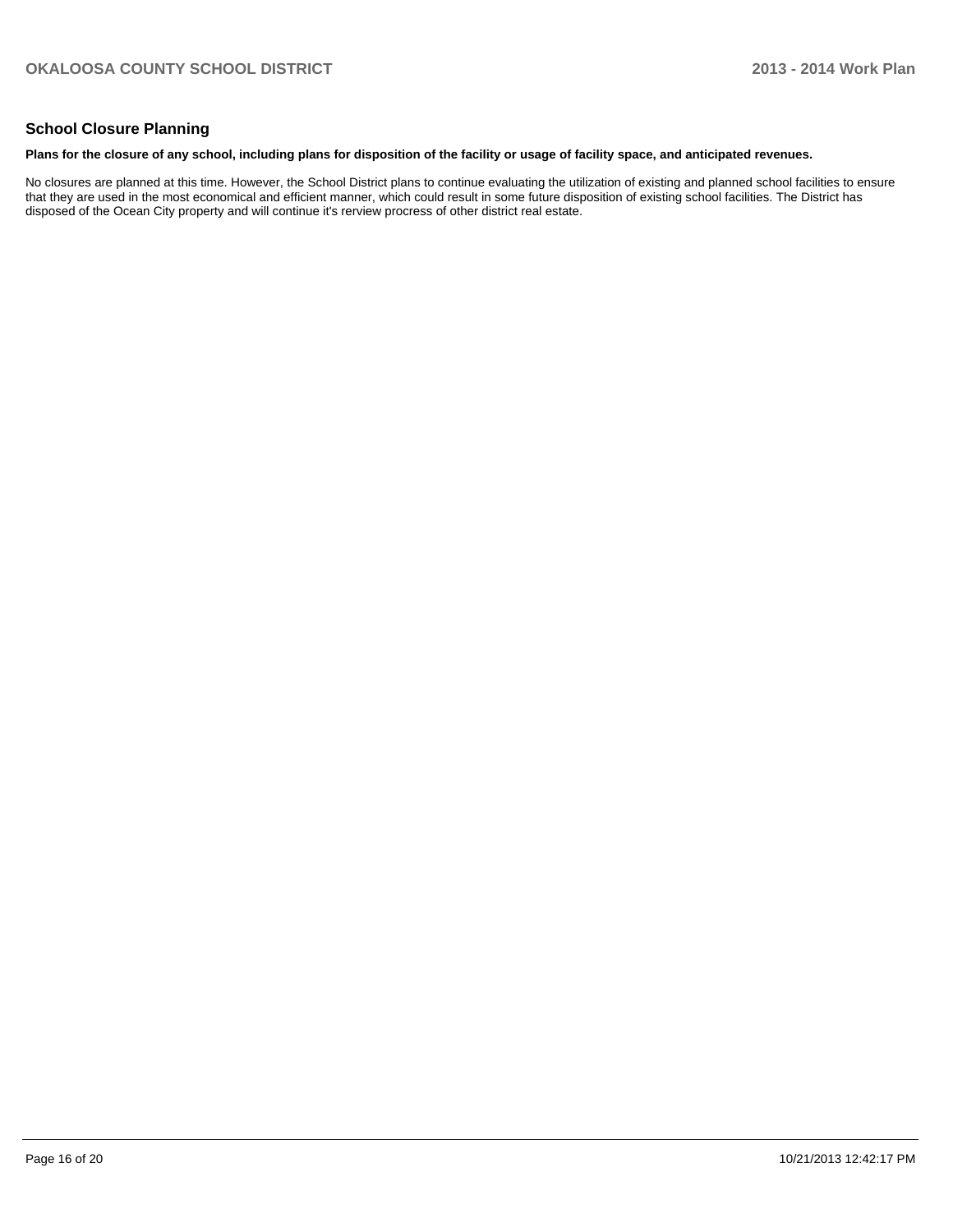#### **School Closure Planning**

#### **Plans for the closure of any school, including plans for disposition of the facility or usage of facility space, and anticipated revenues.**

No closures are planned at this time. However, the School District plans to continue evaluating the utilization of existing and planned school facilities to ensure that they are used in the most economical and efficient manner, which could result in some future disposition of existing school facilities. The District has disposed of the Ocean City property and will continue it's rerview procress of other district real estate.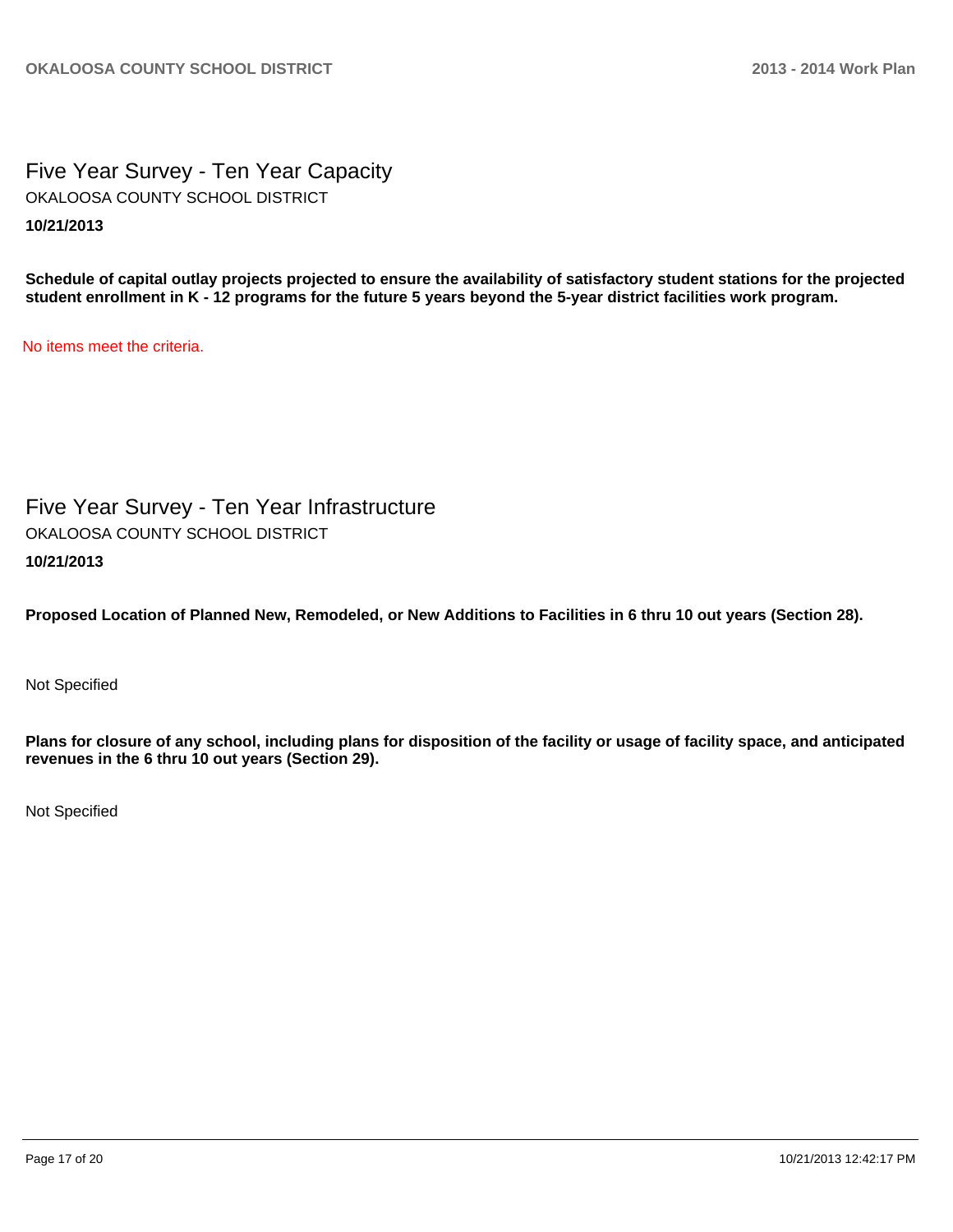Five Year Survey - Ten Year Capacity **10/21/2013** OKALOOSA COUNTY SCHOOL DISTRICT

**Schedule of capital outlay projects projected to ensure the availability of satisfactory student stations for the projected student enrollment in K - 12 programs for the future 5 years beyond the 5-year district facilities work program.**

No items meet the criteria.

Five Year Survey - Ten Year Infrastructure **10/21/2013** OKALOOSA COUNTY SCHOOL DISTRICT

**Proposed Location of Planned New, Remodeled, or New Additions to Facilities in 6 thru 10 out years (Section 28).**

Not Specified

**Plans for closure of any school, including plans for disposition of the facility or usage of facility space, and anticipated revenues in the 6 thru 10 out years (Section 29).**

Not Specified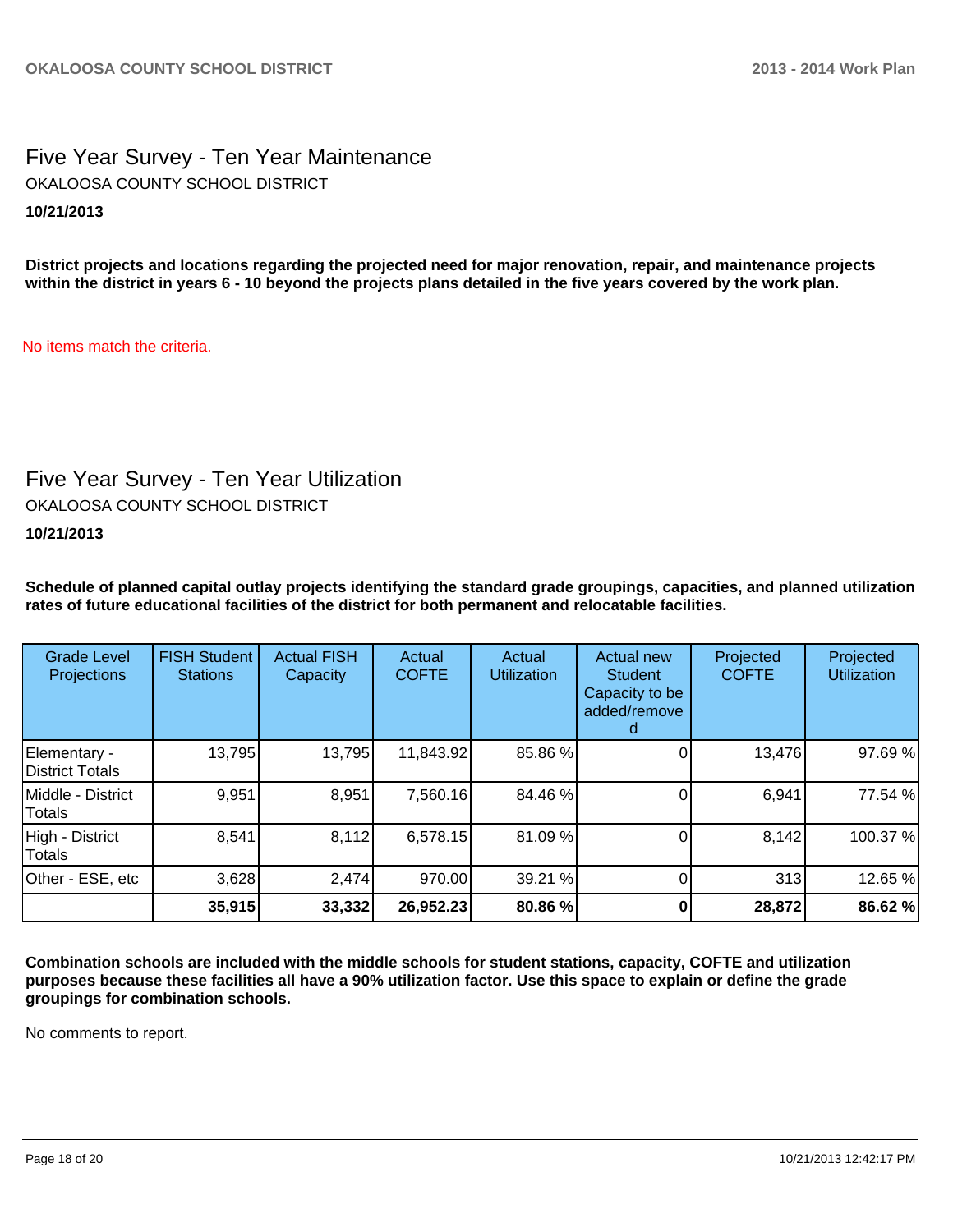Five Year Survey - Ten Year Maintenance **10/21/2013** OKALOOSA COUNTY SCHOOL DISTRICT

**District projects and locations regarding the projected need for major renovation, repair, and maintenance projects within the district in years 6 - 10 beyond the projects plans detailed in the five years covered by the work plan.**

No items match the criteria.

### Five Year Survey - Ten Year Utilization

OKALOOSA COUNTY SCHOOL DISTRICT

**10/21/2013**

**Schedule of planned capital outlay projects identifying the standard grade groupings, capacities, and planned utilization rates of future educational facilities of the district for both permanent and relocatable facilities.**

| <b>Grade Level</b><br><b>Projections</b> | <b>FISH Student</b><br><b>Stations</b> | <b>Actual FISH</b><br>Capacity | Actual<br><b>COFTE</b> | Actual<br><b>Utilization</b> | Actual new<br><b>Student</b><br>Capacity to be<br>added/remove | Projected<br><b>COFTE</b> | Projected<br><b>Utilization</b> |
|------------------------------------------|----------------------------------------|--------------------------------|------------------------|------------------------------|----------------------------------------------------------------|---------------------------|---------------------------------|
| Elementary -<br>District Totals          | 13,795                                 | 13,795                         | 11,843.92              | 85.86 %                      |                                                                | 13,476                    | 97.69%                          |
| Middle - District<br>Totals              | 9,951                                  | 8,951                          | 7,560.16               | 84.46 %                      |                                                                | 6,941                     | 77.54 %                         |
| High - District<br>Totals                | 8,541                                  | 8,112                          | 6,578.15               | 81.09 %                      |                                                                | 8,142                     | 100.37%                         |
| Other - ESE, etc                         | 3,628                                  | 2,474                          | 970.00                 | 39.21 %                      |                                                                | 313                       | 12.65 %                         |
|                                          | 35,915                                 | 33,332                         | 26,952.23              | 80.86 %                      |                                                                | 28,872                    | 86.62%                          |

**Combination schools are included with the middle schools for student stations, capacity, COFTE and utilization purposes because these facilities all have a 90% utilization factor. Use this space to explain or define the grade groupings for combination schools.**

No comments to report.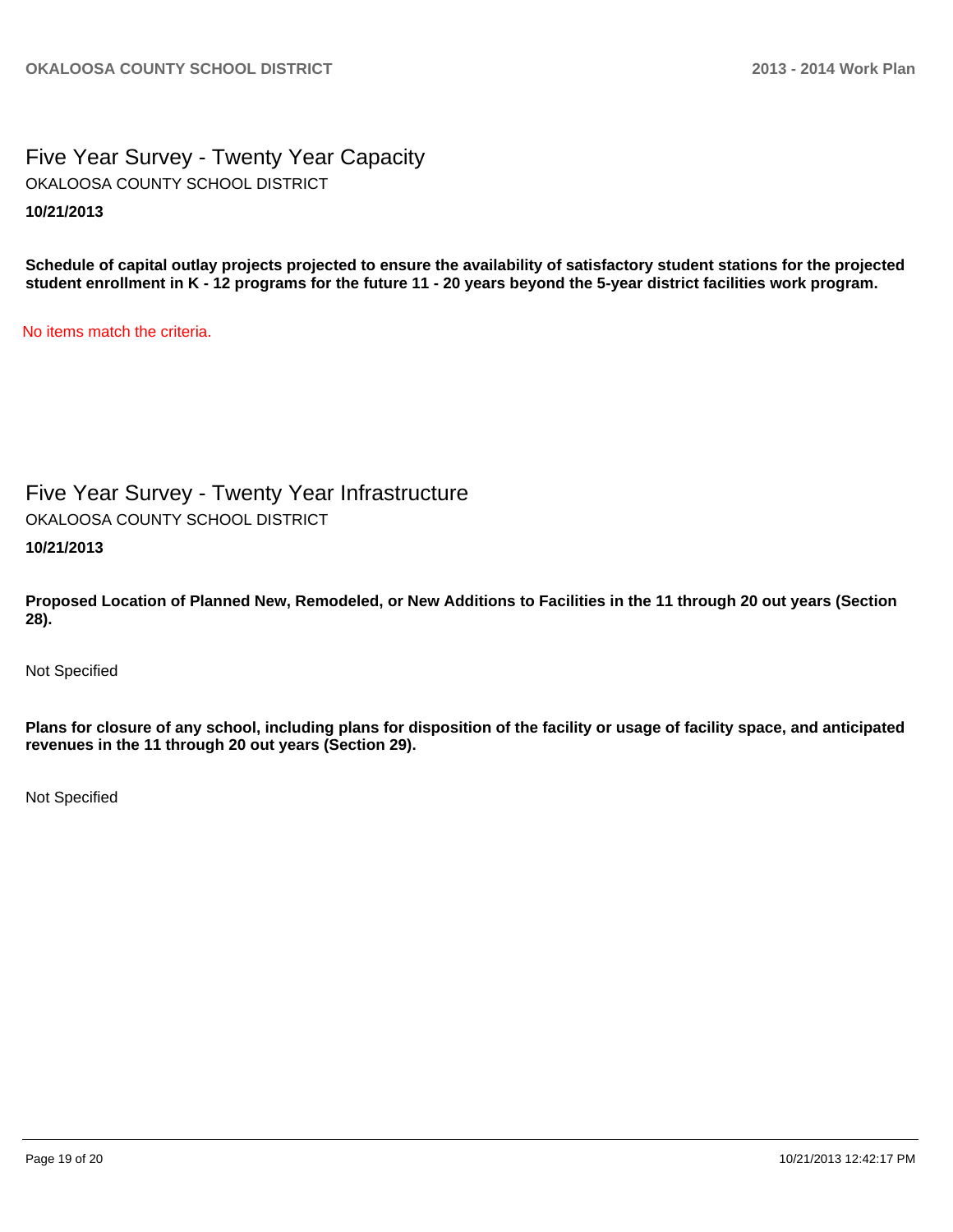Five Year Survey - Twenty Year Capacity **10/21/2013** OKALOOSA COUNTY SCHOOL DISTRICT

**Schedule of capital outlay projects projected to ensure the availability of satisfactory student stations for the projected student enrollment in K - 12 programs for the future 11 - 20 years beyond the 5-year district facilities work program.**

No items match the criteria.

Five Year Survey - Twenty Year Infrastructure OKALOOSA COUNTY SCHOOL DISTRICT

**10/21/2013**

**Proposed Location of Planned New, Remodeled, or New Additions to Facilities in the 11 through 20 out years (Section 28).**

Not Specified

**Plans for closure of any school, including plans for disposition of the facility or usage of facility space, and anticipated revenues in the 11 through 20 out years (Section 29).**

Not Specified